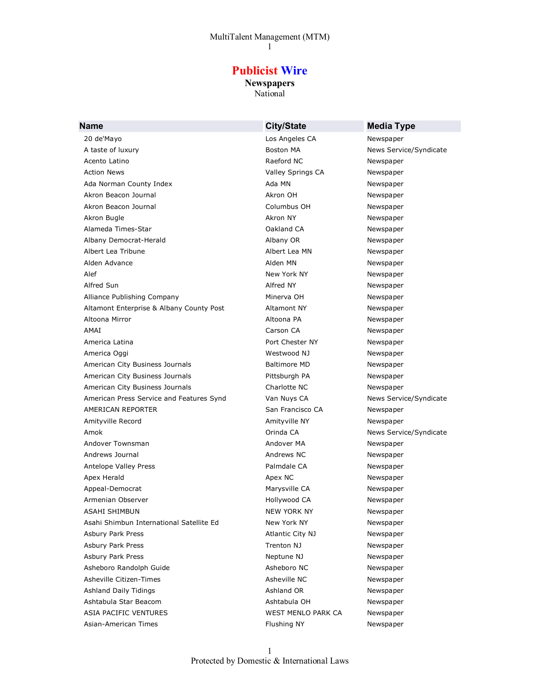# **Publicist Wire**

**Newspapers** National

| <b>Name</b>                              | <b>City/State</b>   | <b>Media Type</b>      |
|------------------------------------------|---------------------|------------------------|
| 20 de'Mayo                               | Los Angeles CA      | Newspaper              |
| A taste of luxury                        | Boston MA           | News Service/Syndicate |
| Acento Latino                            | Raeford NC          | Newspaper              |
| <b>Action News</b>                       | Valley Springs CA   | Newspaper              |
| Ada Norman County Index                  | Ada MN              | Newspaper              |
| Akron Beacon Journal                     | Akron OH            | Newspaper              |
| Akron Beacon Journal                     | Columbus OH         | Newspaper              |
| Akron Bugle                              | Akron NY            | Newspaper              |
| Alameda Times-Star                       | Oakland CA          | Newspaper              |
| Albany Democrat-Herald                   | Albany OR           | Newspaper              |
| Albert Lea Tribune                       | Albert Lea MN       | Newspaper              |
| Alden Advance                            | Alden MN            | Newspaper              |
| Alef                                     | New York NY         | Newspaper              |
| Alfred Sun                               | Alfred NY           | Newspaper              |
| Alliance Publishing Company              | Minerva OH          | Newspaper              |
| Altamont Enterprise & Albany County Post | Altamont NY         | Newspaper              |
| Altoona Mirror                           | Altoona PA          | Newspaper              |
| AMAI                                     | Carson CA           | Newspaper              |
| America Latina                           | Port Chester NY     | Newspaper              |
| America Oggi                             | Westwood NJ         | Newspaper              |
| American City Business Journals          | <b>Baltimore MD</b> | Newspaper              |
| American City Business Journals          | Pittsburgh PA       | Newspaper              |
| American City Business Journals          | Charlotte NC        | Newspaper              |
| American Press Service and Features Synd | Van Nuys CA         | News Service/Syndicate |
| AMERICAN REPORTER                        | San Francisco CA    | Newspaper              |
| Amityville Record                        | Amityville NY       | Newspaper              |
| Amok                                     | Orinda CA           | News Service/Syndicate |
| Andover Townsman                         | Andover MA          | Newspaper              |
| Andrews Journal                          | Andrews NC          | Newspaper              |
| Antelope Valley Press                    | Palmdale CA         | Newspaper              |
| Apex Herald                              | Apex NC             | Newspaper              |
| Appeal-Democrat                          | Marysville CA       | Newspaper              |
| Armenian Observer                        | Hollywood CA        | Newspaper              |
| ASAHI SHIMBUN                            | <b>NEW YORK NY</b>  | Newspaper              |
| Asahi Shimbun International Satellite Ed | New York NY         | Newspaper              |
| <b>Asbury Park Press</b>                 | Atlantic City NJ    | Newspaper              |
| <b>Asbury Park Press</b>                 | Trenton NJ          | Newspaper              |
| <b>Asbury Park Press</b>                 | Neptune NJ          | Newspaper              |
| Asheboro Randolph Guide                  | Asheboro NC         | Newspaper              |
| Asheville Citizen-Times                  | Asheville NC        | Newspaper              |
| <b>Ashland Daily Tidings</b>             | Ashland OR          | Newspaper              |
| Ashtabula Star Beacom                    | Ashtabula OH        | Newspaper              |
| <b>ASIA PACIFIC VENTURES</b>             | WEST MENLO PARK CA  | Newspaper              |
| Asian-American Times                     | Flushing NY         | Newspaper              |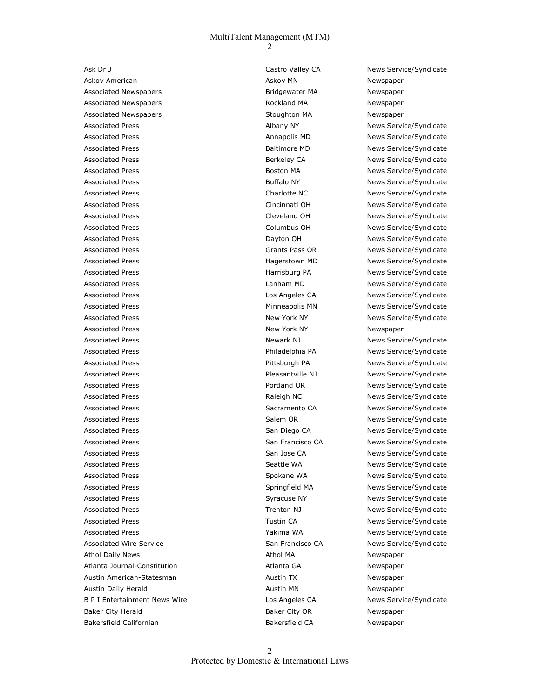Ask Dr J Castro Valley CA News Service/Syndicate Askov American **Askov MN** Askov MN Newspaper Associated Newspapers Bridgewater MA Newspaper Associated Newspapers **Associated Newspapers Rockland MA** Newspaper Associated Newspapers The Communication Stoughton MA Newspaper Associated Press **Albany NY** Albany NY News Service/Syndicate Associated Press **Annapolis MD** News Service/Syndicate Associated Press **Associated Press Baltimore MD** News Service/Syndicate Associated Press **Berkeley CA** News Service/Syndicate Associated Press **Boston MA** News Service/Syndicate Associated Press **Buffalo NY** Buffalo NY News Service/Syndicate Associated Press **Charlotte NC** News Service/Syndicate Associated Press Cincinnati OH News Service/Syndicate Associated Press Cleveland OH News Service/Syndicate Associated Press **Columbus OH** Columbus OH News Service/Syndicate Associated Press **Dayton OH** News Service/Syndicate Associated Press **Calculation Community Community** Grants Pass OR News Service/Syndicate Associated Press **Associated Press Hagerstown MD** News Service/Syndicate Associated Press **Associated Press** Harrisburg PA News Service/Syndicate Associated Press Lanham MD News Service/Syndicate Associated Press **Associated Press** Los Angeles CA News Service/Syndicate Associated Press **Minneapolis MN** News Service/Syndicate Associated Press New York NY New York NY News Service/Syndicate Associated Press New York NY New York NY Newspaper Associated Press Newark NJ Newark NJ News Service/Syndicate Associated Press **Associated Press** Philadelphia PA News Service/Syndicate Associated Press **Pittsburgh PA** News Service/Syndicate Associated Press **Associated Press** Pleasantville NJ News Service/Syndicate Associated Press **Portland OR** News Service/Syndicate Associated Press **Raleigh NC** News Service/Syndicate Associated Press **Sacramento CA** News Service/Syndicate Associated Press News Salem OR News Service/Syndicate Associated Press **News San Diego CA** News Service/Syndicate Associated Press **San Francisco CA** News Service/Syndicate Associated Press The San Jose CA News Service/Syndicate Associated Press **Seattle WA** Seattle WA News Service/Syndicate Associated Press **News Spokane WA** News Service/Syndicate Associated Press **Springfield MA** News Service/Syndicate Associated Press **NASSOCIATES** Syracuse NY News Service/Syndicate Associated Press **News Service**/Syndicate **Trenton NJ** News Service/Syndicate Associated Press **Tustin CA** Tustin CA News Service/Syndicate Associated Press **News Service**/Syndicate Vakima WA News Service/Syndicate Associated Wire Service **San Francisco CA** News Service/Syndicate Athol Daily News **Athol MA** Newspaper Atlanta Journal-Constitution and Atlanta GA Newspaper Austin American-Statesman Austin TX Austin TX Newspaper Austin Daily Herald **Austin MI Newspaper Austin MN** Newspaper B P I Entertainment News Wire **Los Angeles CA** News Service/Syndicate Baker City Herald **Baker City OR** Newspaper Bakersfield Californian and Bakersfield CA Newspaper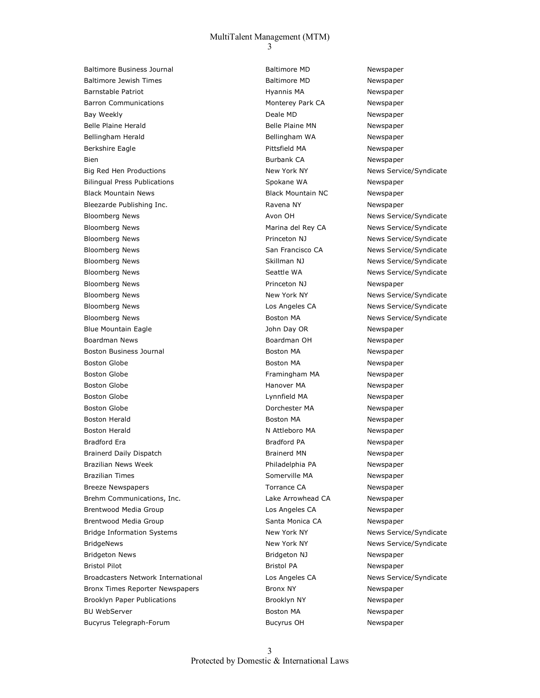Baltimore Business Journal and Baltimore MD Newspaper Baltimore Jewish Times **Baltimore MD** Baltimore MD Newspaper Barnstable Patriot **Matricial Communis MA** Rewspaper Barron Communications The Communications of the Monterey Park CA Newspaper Bay Weekly **Deale MD** Deale MD Newspaper Belle Plaine Herald **Belle Plaine MN** Newspaper Bellingham Herald **Bellingham WA** Newspaper Berkshire Eagle **Pittsfield MA** Newspaper Bien **Burbank CA** Newspaper Big Red Hen Productions The Mexican State of New York NY New York NY News Service/Syndicate Bilingual Press Publications and Spokane WA Newspaper Black Mountain News Black Mountain NC Newspaper Bleezarde Publishing Inc. The Contract of Ravena NY Newspaper Bloomberg News **Avon OH** Avon OH News Service/Syndicate Bloomberg News Marina del Rey CA News Service/Syndicate Bloomberg News Princeton NJ News Service/Syndicate Bloomberg News **San Francisco CA** News Service/Syndicate Bloomberg News Schlitter Assembly Charles and Skillman NJ News Service/Syndicate Bloomberg News News Seattle WA News Service/Syndicate Bloomberg News **National Community Community** Princeton NJ Newspaper Bloomberg News New York NY New York NY News Service/Syndicate Bloomberg News **News Service Angeles CA** News Service/Syndicate Bloomberg News **Boston MA** News Service/Syndicate Blue Mountain Eagle John Day OR Newspaper Boardman News Boardman OH Newspaper Boston Business Journal and Boston MA Newspaper Boston Globe **Boston MA** Rewspaper Boston Globe Framingham MA Newspaper Boston Globe **Hanover MA** Newspaper Boston Globe **Contains a Community Contains Container** Lynnfield MA **Newspaper** Boston Globe **Download Communist Contract Communist Contract Contract Contract Contract Contract Contract Contract Contract Contract Contract Contract Contract Contract Contract Contract Contract Contract Contract Contract**  Boston Herald Boston MA Newspaper Boston Herald N Attleboro MA Newspaper Bradford Era **Bradford PA** Bradford PA Newspaper Brainerd Daily Dispatch **Brainerd MN** Brainerd MN Newspaper Brazilian News Week **Newspaper Philadelphia PA** Newspaper Brazilian Times **Somerville MA** Newspaper Breeze Newspapers **Torrance CA** Newspaper Brehm Communications, Inc. The Communications, Inc. And Lake Arrowhead CA Newspaper Brentwood Media Group and Costal Costal Los Angeles CA Newspaper Brentwood Media Group Santa Monica CA Newspaper Bridge Information Systems New York NY New York NY News Service/Syndicate BridgeNews **New York NY** New York NY News Service/Syndicate Bridgeton News Bridgeton NJ Newspaper Bristol Pilot **Bristol Participal Participal Participal Participal Participal Participal Participal Participal Participal Participal Participal Participal Participal Participal Participal Participal Participal Participal P** Broadcasters Network International **Los Angeles CA** News Service/Syndicate Bronx Times Reporter Newspapers The Bronx NY Newspaper Bronx NY Brooklyn Paper Publications and Brooklyn NY Newspaper BU WebServer **Boston MA** Newspaper Bucyrus Telegraph-Forum and the Sucyrus OH Newspaper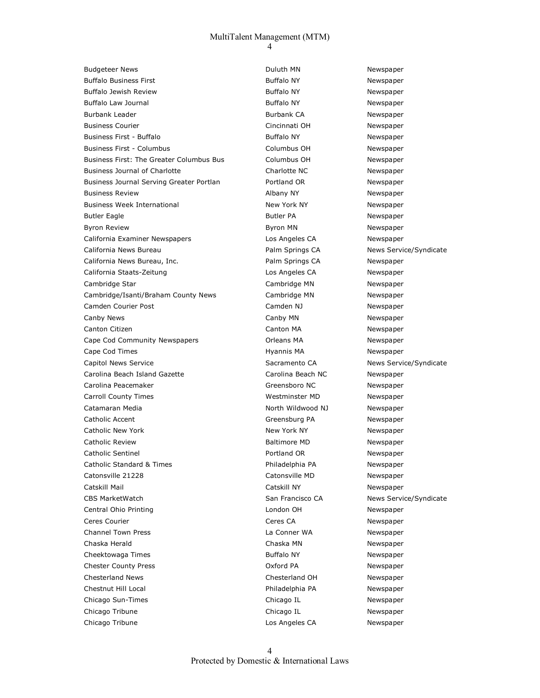Budgeteer News **Duluth MN** Newspaper Buffalo Business First **Buffalo NY** Buffalo NY Newspaper Buffalo Jewish Review **Buffalo NY** Buffalo NY Newspaper Buffalo Law Journal **Buffalo NY** Buffalo NY Newspaper Burbank Leader **Burbank CA Burbank CA Newspaper Burbank CA**  Business Courier Cincinnati OH Newspaper Business First - Buffalo **Business First - Buffalo NY** Buffalo NY Newspaper Business First - Columbus Columbus OH Newspaper Business First: The Greater Columbus Bus Columbus OH Newspaper Business Journal of Charlotte **Charlotte Charlotte NC** Newspaper Business Journal Serving Greater Portlan Portland OR Newspaper Business Review **Albany NY** Albany NY Newspaper Business Week International and New York NY Newspaper Butler Eagle **Butler PA** Butler PA **Newspaper Butler PA** Newspaper Byron Review **Byron MN** Newspaper California Examiner Newspapers Los Angeles CA Newspaper California News Bureau **Palm Springs CA** News Service/Syndicate California News Bureau, Inc. et al. Palm Springs CA Newspaper California Staats-Zeitung and Los Angeles CA Newspaper Cambridge Star Cambridge MN Newspaper Cambridge/Isanti/Braham County News Cambridge MN Newspaper Camden Courier Post Camden NJ Newspaper Canby News **Canby MN** Newspaper Canton Citizen **Canton Canton MA** Newspaper Cape Cod Community Newspapers Orleans MA Newspaper Cape Cod Times **Hyannis MA** Newspaper Capitol News Service **Sacramento CA** News Service/Syndicate Carolina Beach Island Gazette Carolina Beach NC Newspaper Carolina Peacemaker **Greensboro NC** Newspaper Carroll County Times **Westminster MD** Newspaper Catamaran Media North Wildwood NJ Newspaper Catholic Accent Catholic Accent Catholic Accent Catholic Accent Catholic Accent Catholic Accent Catholic Accent Catholic New York New York NY Newspaper Catholic Review Baltimore MD Newspaper Catholic Sentinel **Portland OR** Newspaper Catholic Standard & Times **Philadelphia PA** Newspaper Catonsville 21228 Catonsville MD Newspaper Catskill Mail Catskill NY Newspaper CBS MarketWatch San Francisco CA News Service/Syndicate Central Ohio Printing London OH Newspaper Ceres Courier **Ceres CA** Ceres CA Newspaper Channel Town Press La Conner WA Newspaper Chaska Herald **Chaska MI Newspaper** Chaska MN Newspaper Cheektowaga Times **Buffalo NY** Buffalo NY Newspaper Chester County Press Oxford PA Newspaper Chesterland News Chesterland OH Newspaper Chestnut Hill Local Philadelphia PA Newspaper Chicago Sun-Times Chicago IL Newspaper Chicago Tribune Chicago IL Newspaper Chicago Tribune Los Angeles CA Newspaper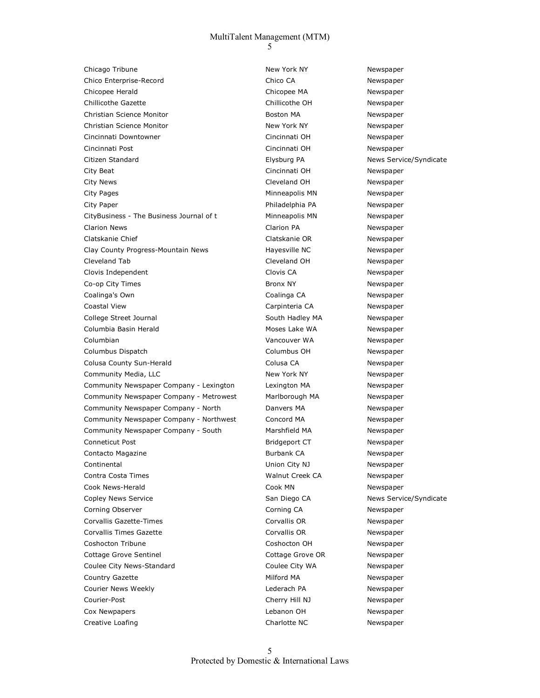Chicago Tribune **New York NY** New York NY Newspaper Chico Enterprise-Record Chico CA Newspaper Chicopee Herald Chicopee MA Newspaper Chillicothe Gazette Chillicothe OH Newspaper Christian Science Monitor **Boston MA** Newspaper Christian Science Monitor **New York New York NY** Newspaper Cincinnati Downtowner Cincinnati OH Newspaper Cincinnati Post Cincinnati OH Newspaper Citizen Standard Elysburg PA News Service/Syndicate City Beat Cincinnati OH Newspaper City News Cleveland OH Newspaper City Pages **Minneapolis MN** Newspaper City Paper **Philadelphia PA** Newspaper Philadelphia PA CityBusiness - The Business Journal of t Minneapolis MN Newspaper Clarion News Clarion PA Newspaper Clatskanie Chief Clatskanie OR Newspaper Clay County Progress-Mountain News Mayesville NC Newspaper Cleveland Tab Cleveland OH Newspaper Clovis Independent Clovis CA Newspaper Co-op City Times **Bronx NY** Bronx NY Newspaper Coalinga's Own Coalinga CA Newspaper Coastal View **Carpinteria CA** Newspaper College Street Journal **South Hadley MA** Newspaper Columbia Basin Herald **Moses Lake WA** Newspaper Columbian Vancouver WA Newspaper Columbus Dispatch Columbus OH Newspaper Colusa County Sun-Herald Colusa CA Newspaper Community Media, LLC **New York NY** New York NY Newspaper Community Newspaper Company - Lexington Lexington MA Newspaper Community Newspaper Company - Metrowest Marlborough MA Newspaper Community Newspaper Company - North Danvers MA Newspaper Community Newspaper Company - Northwest Concord MA Newspaper Community Newspaper Company - South Marshfield MA Newspaper Conneticut Post **Bridgeport CT** Newspaper Contacto Magazine **Burbank CA Burbank CA** Newspaper Continental Union City NJ Newspaper Contra Costa Times **Mallace Contra Costa Times** Walnut Creek CA Newspaper Cook News-Herald Cook MN Newspaper Copley News Service **San Diego CA** News Service/Syndicate Corning Observer **Corning CA** Corning CA Newspaper Corvallis Gazette-Times and Corvallis OR Corvallis OR Newspaper Corvallis Times Gazette Corvallis OR Newspaper Coshocton Tribune Coshocton OH Newspaper Cottage Grove Sentinel Cottage Grove OR Newspaper Coulee City News-Standard **Coulee City WA** Newspaper Country Gazette **Milford MA** Newspaper Courier News Weekly Lederach PA Newspaper Courier-Post Cherry Hill NJ Newspaper Cox Newpapers Lebanon OH Newspaper Creative Loafing **Charlotte NC** Newspaper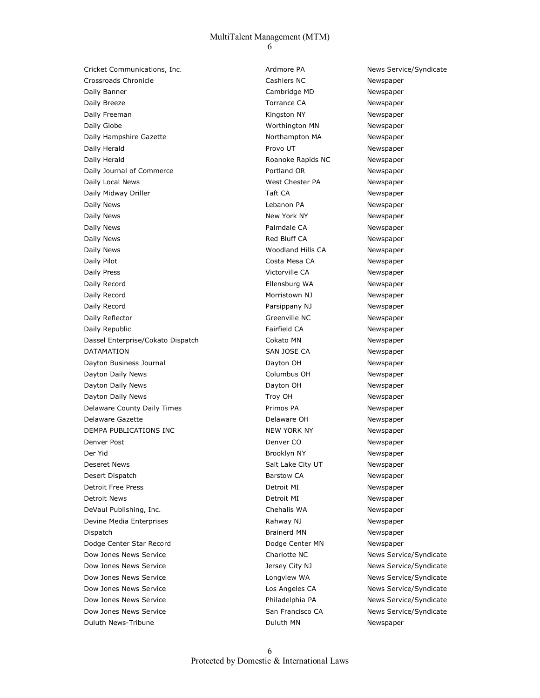Cricket Communications, Inc. The Communications of the Cricket Communications, Inc. Ardmore PA News Service/Syndicate Crossroads Chronicle Cashiers NC Newspaper Daily Banner **Cambridge MD** Newspaper Daily Breeze **Torrance CA** Newspaper Daily Freeman November 2012 12:00 November 2013 12:00 Kingston NY Newspaper Daily Globe **No. 2018 Worthington MN** Newspaper Daily Hampshire Gazette **Northampton MA** Newspaper Daily Herald **Provo UT** Provo UT **Newspaper Provo UT** Daily Herald **Roanoke Rapids NC** Newspaper Daily Journal of Commerce The Portland OR Newspaper Daily Local News West Chester PA Newspaper Daily Midway Driller **Taft CA** Taft CA Newspaper Daily News Lebanon PA Newspaper Daily News **New York NY** New York NY Newspaper Daily News **Palmdale CA** Newspaper Daily News **Newspaper Red Bluff CA** Newspaper Daily News Woodland Hills CA Newspaper Daily Pilot **Costa Mesa CA** Newspaper Daily Press Victorville CA Newspaper Daily Record Ellensburg WA Newspaper Daily Record **Morristown NJ** Newspaper Daily Record **Parsippany NJ** Parsippany NJ Newspaper Daily Reflector **Calculation** Controller Controller Controller Newspaper Daily Republic **Fairfield CA** Newspaper Dassel Enterprise/Cokato Dispatch Cokato MN Newspaper DATAMATION SAN JOSE CA Newspaper Dayton Business Journal Dayton OH Newspaper Dayton Daily News Columbus OH Newspaper Dayton Daily News **Dayton OH** Dayton OH Newspaper Dayton Daily News **News** Troy OH Newspaper Delaware County Daily Times **Primos PA** Primos PA Newspaper Delaware Gazette **Delaware OH** Newspaper DEMPA PUBLICATIONS INC NEW YORK NY NEW YORK NY Newspaper Denver Post Newspaper Newspaper Newspaper Newspaper Newspaper Newspaper Newspaper Der Yid Brooklyn NY Newspaper Deseret News Newspaper Controller City UT Newspaper Salt Lake City UT Desert Dispatch **Barstow CA Barstow CA** Newspaper Detroit Free Press and the Community Control of the Detroit MI Newspaper Detroit News Detroit MI Newspaper DeVaul Publishing, Inc. Chehalis WA Newspaper Devine Media Enterprises and the Californian Rahway NJ Newspaper Dispatch Brainerd MN Newspaper Dodge Center Star Record **Canadian Control Control Control** Dodge Center MN Newspaper Dow Jones News Service **Charlotte NC** Charlotte NC News Service/Syndicate Dow Jones News Service The Matter of the Jersey City NJ News Service/Syndicate Dow Jones News Service **News Service Syndicate** Longview WA News Service/Syndicate Dow Jones News Service Los Angeles CA News Service/Syndicate Dow Jones News Service **News Accord Contract Contract Philadelphia PA** News Service/Syndicate Dow Jones News Service San Francisco CA News Service/Syndicate Duluth News-Tribune **Newspaper Construction Construction Construction Construction Construction Construction Construction Construction Construction Newspaper**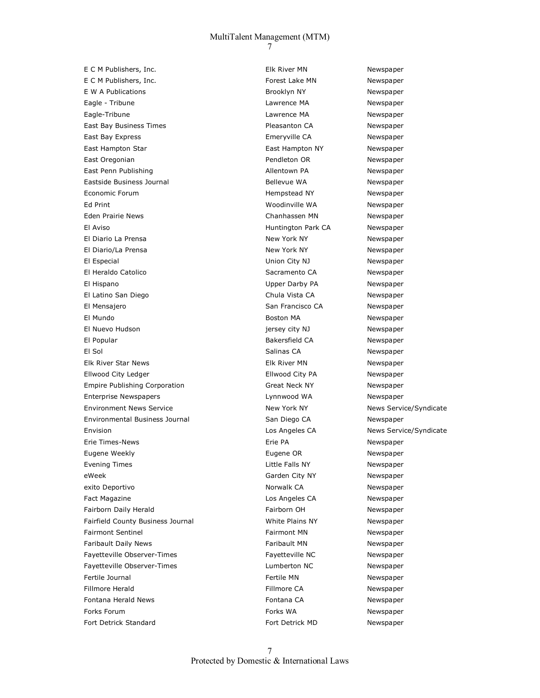E C M Publishers, Inc. The C M Newspaper C M Newspaper Elk River MN Newspaper E C M Publishers, Inc. The C M Newspaper C M Newspaper E W A Publications and the state of the Brooklyn NY The Newspaper Eagle - Tribune Lawrence MA Newspaper Eagle-Tribune Lawrence MA Newspaper East Bay Business Times **Pleasanton CA** Newspaper East Bay Express Emeryville CA Newspaper East Hampton Star **East Hampton NY** Newspaper East Oregonian **Pendleton OR** Newspaper East Penn Publishing and Allentown PA Newspaper Eastside Business Journal **Bellevue WA** Bellevue WA Newspaper Economic Forum and the control of the Hempstead NY The Newspaper Ed Print Woodinville WA Newspaper Eden Prairie News **Channessen MN** Newspaper El Aviso Huntington Park CA Newspaper El Diario La Prensa New York NY Newspaper El Diario/La Prensa New York NY New York NY Newspaper El Especial Union City NJ Newspaper El Heraldo Catolico **Sacramento CA** Newspaper El Hispano Upper Darby PA Newspaper El Latino San Diego Chula Vista CA Newspaper El Mensajero San Francisco CA Newspaper El Mundo Boston MA Newspaper El Nuevo Hudson jersey city NJ Newspaper El Popular Bakersfield CA Newspaper El Sol Salinas CA Newspaper Elk River Star News Elk River MN Newspaper Ellwood City Ledger Ellwood City PA Newspaper Empire Publishing Corporation **Great Neck NY** Newspaper Enterprise Newspapers Lynnwood WA Newspaper Environment News Service **New York New York NY** News Service/Syndicate Environmental Business Journal San Diego CA Newspaper Envision Los Angeles CA News Service/Syndicate Erie Times-News Erie PA Newspaper Eugene Weekly Eugene OR Newspaper Evening Times **Little Falls NY** Newspaper eWeek etter and the Garden City NY Newspaper exito Deportivo **Norwalk CA** Norwalk CA Newspaper Fact Magazine **Los Angeles CA** Newspaper Fairborn Daily Herald **Fairborn OH** Fairborn OH Newspaper Fairfield County Business Journal White Plains NY Newspaper Fairmont Sentinel **Fairmont MN** Newspaper Faribault Daily News **Faribault MN** Newspaper Fayetteville Observer-Times **Fayetteville NC** Newspaper Fayetteville Observer-Times and the Lumberton NC Newspaper Fertile Journal Fertile MN Newspaper Fillmore Herald **Fillmore CA** Newspaper Fontana Herald News **Fontana CA Newspaper Fontana CA Newspaper** Forks Forum and the Community of the Community Forks WA Newspaper Fort Detrick Standard **Fort Detrick MD** Newspaper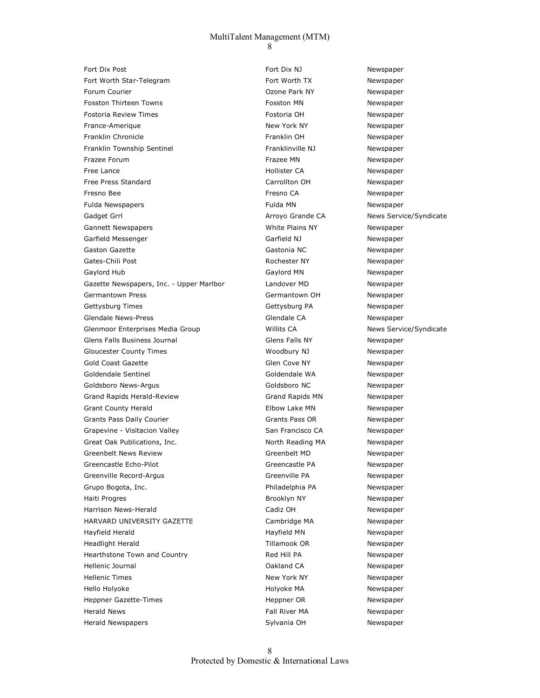Fort Dix Post Newspaper **Fort Dix NJ** Newspaper Fort Worth Star-Telegram The State of the Start Worth TX Newspaper Forum Courier **Calculation** Communication Courier Courier Courier Courier Courier Courier Courier Courier Courier Fosston Thirteen Towns **Fosston MN** Fosston MN Newspaper Fostoria Review Times Fostoria OH Newspaper France-Amerique **New York NY** New York NY Newspaper Franklin Chronicle Franklin OH Newspaper Franklin Township Sentinel The Controller Channel Franklinville NJ Newspaper Frazee Forum and the Community of the Community of the Frazee MN Newspaper Free Lance **Newspaper Hollister CA** Newspaper Free Press Standard The Carrollton OH Newspaper Fresno Bee **Fresno CA** Newspaper **Fresno CA** Newspaper Fulda Newspapers Fulda MN Newspaper Gadget Grrl **Arroyo Grande CA** News Service/Syndicate Gannett Newspapers **Communist Communist Communist Communist Communist Communist Communist Communist Communist Communist Communist Communist Communist Communist Communist Communist Communist Communist Communist Communist Co** Garfield Messenger The Controller Carrield NJ Newspaper Gaston Gazette **Gastonia NC** Newspaper Gates-Chili Post **Rochester NY** Newspaper Gaylord Hub **Gaylord MN** Gaylord MN Newspaper Gazette Newspapers, Inc. - Upper Marlbor Landover MD Newspaper Germantown Press Germantown OH Newspaper Gettysburg Times **Gettysburg PA** Newspaper Glendale News-Press Glendale CA Newspaper Glenmoor Enterprises Media Group Millits CA News Service/Syndicate Glens Falls Business Journal and Glens Falls NY Clens Falls NY Newspaper Gloucester County Times **Woodbury NJ** Woodbury NJ Newspaper Gold Coast Gazette **Glen Cove Cove Cove Cove Cove AT ACCOVE COVE COVE COVE COVE COVE COVER COVER COVER COVER COVER**  Goldendale Sentinel Goldendale WA Newspaper Goldsboro News-Argus **Goldsboro NC** Newspaper Grand Rapids Herald-Review **Grand Rapids MN** Newspaper Grant County Herald **Elbow Lake MN** Newspaper Grants Pass Daily Courier Communication Counter Grants Pass OR Grants Pass OR Newspaper Grapevine - Visitacion Valley San Francisco CA Newspaper Great Oak Publications, Inc. The Control of North Reading MA Newspaper Greenbelt News Review **Greenbelt MD** Newspaper Greencastle Echo-Pilot **Greencastle PA** Newspaper Greenville Record-Argus **Greenville PA** Newspaper Grupo Bogota, Inc. **Philadelphia PA** Newspaper Haiti Progres and the Community of the Brooklyn NY The Newspaper Harrison News-Herald **News-Report Cadiz OH** Cadiz OH Newspaper HARVARD UNIVERSITY GAZETTE CAMBRIDGE Cambridge MA Newspaper Hayfield Herald **Hayfield MI Newspaper Hayfield MN** Newspaper Headlight Herald **Newspaper** Tillamook OR Newspaper Hearthstone Town and Country The Red Hill PA Newspaper Hellenic Journal Oakland CA Newspaper Hellenic Times **New York NY** New York NY Newspaper Hello Holyoke Holyoke MA Newspaper Heppner Gazette-Times **Heppner OR** Newspaper Herald News Fall River MA Newspaper Herald Newspapers **Newspapers** Sylvania OH Newspaper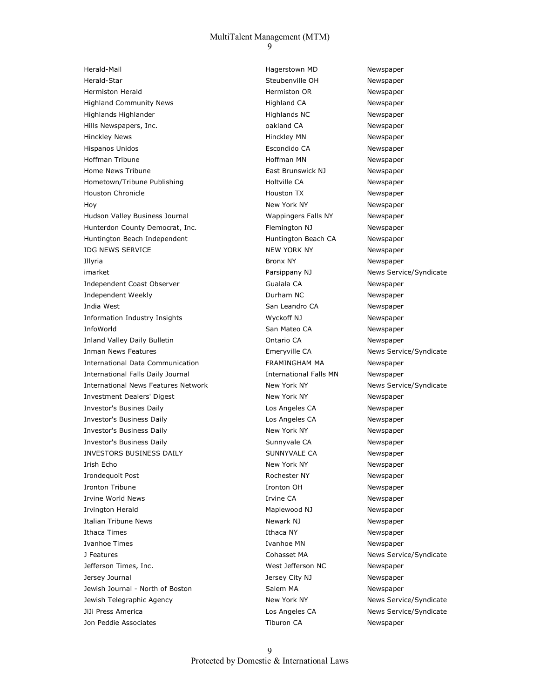Herald-Mail Hagerstown MD Newspaper Herald-Star Steubenville OH Newspaper Hermiston Herald **Hermiston OR** Newspaper Highland Community News Manuscription and Highland CA Newspaper Highlands Highlander **Highlands NC** Newspaper Hills Newspapers, Inc. The Control of the California CA Newspaper Hinckley News **Hinckley MN** Newspaper Hispanos Unidos Escondido CA Newspaper Hoffman Tribune **Hoffman MN** Newspaper Home News Tribune **East Brunswick NJ** Newspaper Hometown/Tribune Publishing The Communication of Holtville CA Newspaper Houston Chronicle Houston TX Newspaper Hoy **New York NY** New York NY Newspaper Hudson Valley Business Journal Wappingers Falls NY Newspaper Hunterdon County Democrat, Inc. The Remington NJ Rewspaper Huntington Beach Independent The Huntington Beach CA Newspaper IDG NEWS SERVICE **NEW YORK NY** NEW YORK NY Newspaper Illyria Bronx NY Newspaper imarket **National Accord Engine System** Parsippany NJ News Service/Syndicate Independent Coast Observer The Constitution of Gualala CA Newspaper Independent Weekly Durham NC Newspaper India West **India West** San Leandro CA Newspaper Information Industry Insights Wyckoff NJ Newspaper InfoWorld **San Mateo CA** Newspaper Inland Valley Daily Bulletin Ontario CA Newspaper Inman News Features **Emeryville CA** News Service/Syndicate International Data Communication FRAMINGHAM MA Newspaper International Falls Daily Journal **International Falls MN** Newspaper International News Features Network New York New York NY News Service/Syndicate Investment Dealers' Digest New York NY New York NY Newspaper Investor's Busines Daily Los Angeles CA Newspaper Investor's Business Daily Los Angeles CA Newspaper Investor's Business Daily **New York NY** New York NY Newspaper Investor's Business Daily **Sunnyvale CA** Newspaper INVESTORS BUSINESS DAILY **SUNNYVALE CA** Newspaper Irish Echo New York NY New York NY Newspaper Irondequoit Post **Rochester NY** Newspaper Ironton Tribune **Ironton OH** Newspaper Irvine World News **Irvine CA** Newspaper Irvington Herald **Maplewood NJ** Newspaper Italian Tribune News **Newspaper** Newark NJ Newspaper Ithaca Times **Ithaca NY** Ithaca NY Newspaper Ivanhoe Times **Ivanhoe MN** Ivanhoe MN Newspaper J Features Cohasset MA News Service/Syndicate Jefferson Times, Inc. West Jefferson NC Newspaper Jersey Journal Jersey City NJ Newspaper Jewish Journal - North of Boston Salem MA Newspaper Jewish Telegraphic Agency **New York NY** New York NY News Service/Syndicate JiJi Press America Los Angeles CA News Service/Syndicate Jon Peddie Associates Tiburon CA Newspaper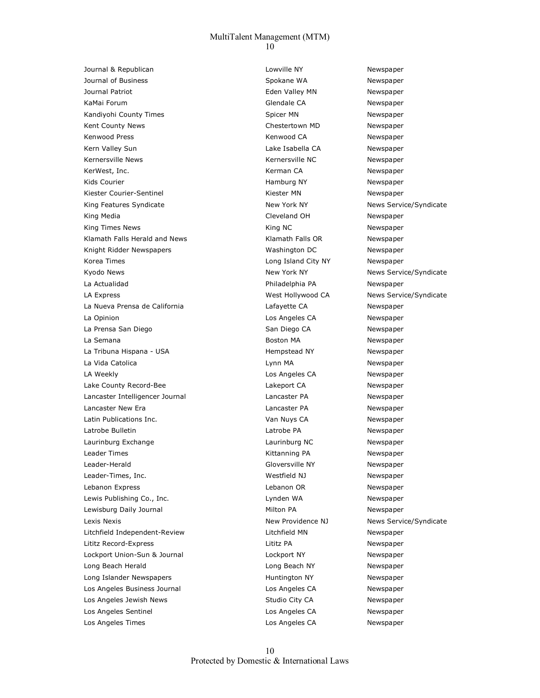Journal & Republican and Lowville NY Newspaper Journal of Business The Spokane WA Newspaper Journal Patriot **Eden Valley MN** Newspaper KaMai Forum Glendale CA Newspaper Kandiyohi County Times Summan Newspaper Spicer MN Newspaper Kent County News **Chestertown MD** Newspaper Kenwood Press **Kenwood CA** Newspaper Kern Valley Sun Lake Isabella CA Newspaper Kernersville News<br>
Kernersville News KerWest, Inc. **Kerman CA** Newspaper Kids Courier **Hamburg NY** Newspaper **Namburg NY** Newspaper Kiester Courier-Sentinel The Court of the Kiester MN Newspaper King Features Syndicate The New York NY New York NY News Service/Syndicate King Media Cleveland OH Newspaper King Times News **King NC** Newspaper Klamath Falls Herald and News **Klamath Falls OR** Newspaper Knight Ridder Newspapers Washington DC Newspaper Korea Times **Long Island City NY** Newspaper Kyodo News **New York NY** New York NY News Service/Syndicate La Actualidad Philadelphia PA Newspaper LA Express The Community Community Community West Hollywood CA News Service/Syndicate La Nueva Prensa de California and a Lafayette CA and Lafayette CA La Opinion **La Communistance CA** Los Angeles CA Newspaper La Prensa San Diego **San Diego CA** Newspaper La Semana **Boston MA** Rewspaper La Tribuna Hispana - USA **Hempstead NY** Hempstead NY Newspaper La Vida Catolica **Lynn MA** Lynn MA Newspaper LA Weekly **Los Angeles CA** Newspaper Lake County Record-Bee Lakeport CA Lakeport CA Newspaper Lancaster Intelligencer Journal Lancaster PA Newspaper Lancaster New Era Lancaster PA Newspaper Latin Publications Inc. Van Nuys CA Newspaper Latrobe Bulletin Latrobe PA Newspaper Laurinburg Exchange **Laurinburg NC** Laurinburg NC Newspaper Leader Times **Contains Community** Contains Method Kittanning PA **Newspaper** Newspaper Leader-Herald **Gloversville NY** Newspaper Leader-Times, Inc. The Contract of the Contract of Mexical Muslim Mexical Muslim Newspaper Lebanon Express and the contract of the Lebanon OR Newspaper Lewis Publishing Co., Inc. The Contract of the Lynden WA Newspaper Lewisburg Daily Journal Milton PA Newspaper Lexis Nexis New Providence NJ News Service/Syndicate Litchfield Independent-Review Litchfield MN Newspaper Lititz Record-Express Lititz PA Newspaper Lockport Union-Sun & Journal Lockport NY Newspaper Long Beach Herald Long Beach NY Newspaper Long Islander Newspapers The Municipal Huntington NY Newspaper Los Angeles Business Journal Los Angeles CA Newspaper Los Angeles Jewish News **Studio City CA** Newspaper Los Angeles Sentinel Los Angeles CA Newspaper Los Angeles Times Los Angeles CA Newspaper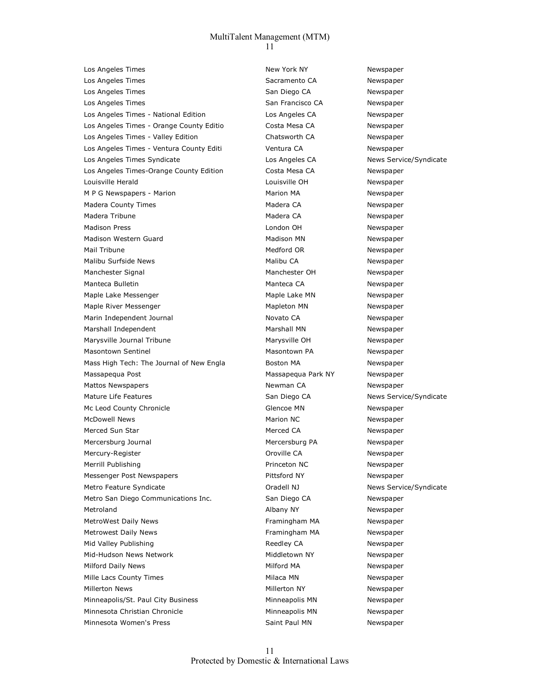Los Angeles Times **New York NY** New York NY Los Angeles Times **Sacramento CA** Newspaper Los Angeles Times National According San Diego CA Newspaper Los Angeles Times **San Francisco CA** Newspaper Los Angeles Times - National Edition Los Angeles CA Newspaper Los Angeles Times - Orange County Editio Costa Mesa CA Newspaper Los Angeles Times - Valley Edition Chatsworth CA Newspaper Los Angeles Times - Ventura County Editi Ventura CA Newspaper Los Angeles Times Syndicate Los Angeles CA News Service/Syndicate Los Angeles Times-Orange County Edition Costa Mesa CA Newspaper Louisville Herald Louisville OH Newspaper M P G Newspapers - Marion Marion MA Newspaper Madera County Times **Madera CA** Madera CA Newspaper Madera Tribune **Madera CA** Newspaper Madison Press **National According London OH** Newspaper Madison Western Guard Madison MN Madison MN Newspaper Mail Tribune **Medford OR** Newspaper **Medford OR** Newspaper Malibu Surfside News **Malibu CA** Newspaper Manchester Signal Manchester OH Newspaper Manteca Bulletin Manteca CA Newspaper Maple Lake Messenger Maple Lake MN Newspaper Maple River Messenger Mapleton MN Newspaper Marin Independent Journal Novato CA Novato CA Newspaper Marshall Independent Marshall MN Newspaper Marysville Journal Tribune Marysville OH Newspaper Masontown Sentinel Masontown PA Newspaper Mass High Tech: The Journal of New Engla Boston MA Boston MA Massapequa Post Massapequa Park NY Newspaper Mattos Newspapers **Newspaper** Newman CA Newspaper Mature Life Features **San Diego CA** News Service/Syndicate Mc Leod County Chronicle **County Chronicle** Glencoe MN Newspaper McDowell News **Marion NC Newspaper** Marion NC Newspaper Merced Sun Star Merced CA Newspaper Mercersburg Journal Mercersburg PA Newspaper Mercury-Register **Mercury-Register** CH<sub>0</sub> Mercury-Register CH<sub>0</sub> Mewspaper Merrill Publishing **Princeton NC** Newspaper Messenger Post Newspapers **Access 20 For Access Pittsford NY** Newspaper Metro Feature Syndicate **Metro Feature Syndicate** Oradell NJ News Service/Syndicate Metro San Diego Communications Inc. San Diego CA Newspaper Metroland **Albany NY** Albany NY Newspaper MetroWest Daily News **Framingham MA** Newspaper Metrowest Daily News **Framingham MA** Newspaper Mid Valley Publishing The Communication of Reedley CA Newspaper Mid-Hudson News Network Middletown NY Newspaper Milford Daily News **Milford MA** Newspaper Mille Lacs County Times Milaca MN Nilaca MN Newspaper Millerton News **Millerton NY** Newspaper Minneapolis/St. Paul City Business **Minneapolis MN** Newspaper Minnesota Christian Chronicle **Minneapolis MN** Newspaper Minnesota Women's Press Newspaper Saint Paul MN Newspaper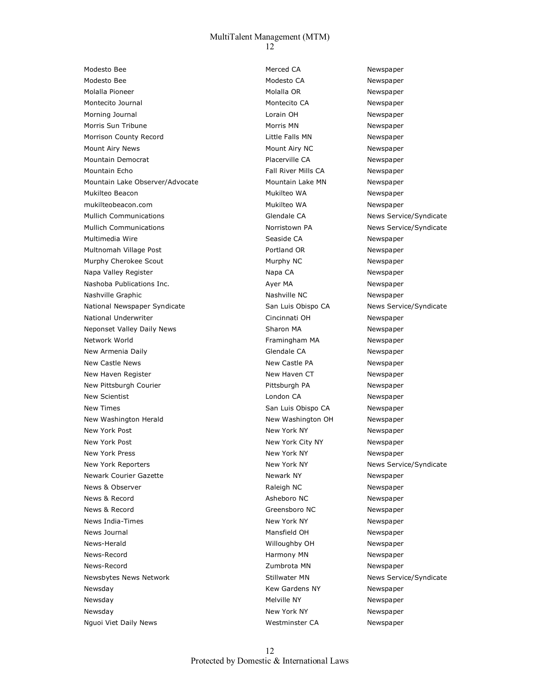Modesto Bee **Merced CA** Newspaper **Merced CA** Newspaper Modesto Bee **Modesto CA** Newspaper Molalla Pioneer and Molalla OR Newspaper Molalla OR Newspaper Montecito Journal **Montecito CA** Newspaper Morning Journal **Notation Community** Lorain OH Newspaper Morris Sun Tribune **Morris MIN** Morris MN Newspaper Morrison County Record **Newspaper Little Falls MN** Newspaper Mount Airy News **Mount Airy NC** Newspaper Mountain Democrat **Newspaper Placerville CA** Newspaper Mountain Echo **Fall River Mills CA** Newspaper Mountain Lake Observer/Advocate Mountain Lake MN Newspaper Mukilteo Beacon Mukilteo WA Newspaper mukilteobeacon.com Mukilteo WA Newspaper Mullich Communications and Glendale CA News Service/Syndicate Mullich Communications The Norristown PA News Service/Syndicate Multimedia Wire **Seaside CA** Newspaper Multnomah Village Post **Access Post Access Portland OR** Newspaper Murphy Cherokee Scout **Murphy NC** Newspaper Napa Valley Register Napa CA Napa CA Newspaper Nashoba Publications Inc. <br>
Ayer MA Newspaper Nashville Graphic Nashville NC Nashville NC Newspaper National Newspaper Syndicate San Luis Obispo CA News Service/Syndicate National Underwriter Cincinnati OH Newspaper Neponset Valley Daily News Manuscription Sharon MA Newspaper Network World Framingham MA Newspaper New Armenia Daily **Newspaper Glendale CA** Newspaper New Castle News New Castle PA New Sastle PA Newspaper New Haven Register Newspaper New Haven CT Newspaper New Pittsburgh Courier **Pittsburgh PA** Newspaper New Scientist **Newspaper London CA** Newspaper New Times San Luis Obispo CA Newspaper New Washington Herald New Your Mew Washington OH Newspaper New York Post Newspaper New York NY New York NY Newspaper New York Post New York City NY New York City NY Newspaper New York Press New York NY New York NY Newspaper New York Reporters **New York NY** New York NY New Service/Syndicate Newark Courier Gazette **Newspaper** Newark NY Newspaper News & Observer The Communication of the Raleigh NC Newspaper News & Record **Asheboro NC** Newspaper News & Record Greensboro NC Newspaper News India-Times New York NY New York NY Newspaper News Journal **Mansfield OH** Newspaper News-Herald Willoughby OH Newspaper News-Record **News-Record Harmony MN** Newspaper News-Record **News-Record News-Record Newspaper Zumbrota MN** Newspaper Newsbytes News Network **News** Stillwater MN News Service/Syndicate Newsday Newspaper Communication of the Media Kew Gardens NY Newspaper Newsday **Melville NY** Newspaper **Melville NY** Newspaper Newsday **New York NY** New York NY Newspaper Nguoi Viet Daily News **Westminster CA** Newspaper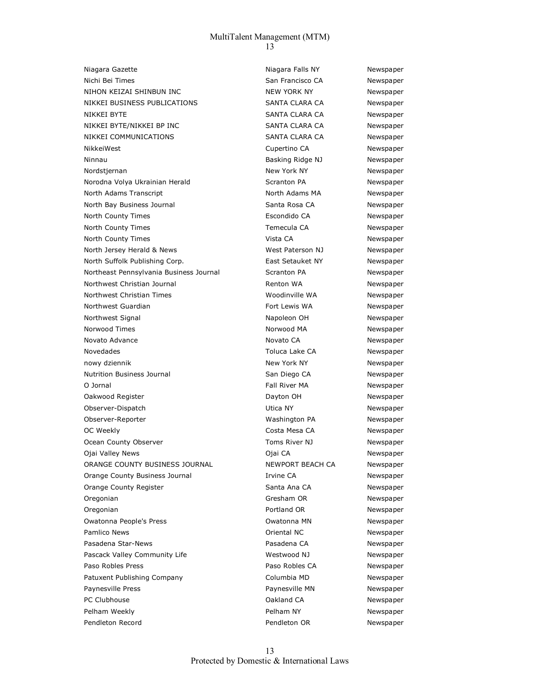Niagara Gazette **Niagara Falls NY** Newspaper Nichi Bei Times San Francisco CA Newspaper NIHON KEIZAI SHINBUN INC NEW YORK NY NEW YORK NY Newspaper NIKKEI BUSINESS PUBLICATIONS SANTA CLARA CA Newspaper NIKKEI BYTE SANTA CLARA CA Newspaper NIKKEI BYTE/NIKKEI BP INC SANTA CLARA CA Newspaper NIKKEI COMMUNICATIONS SANTA CLARA CA Newspaper NikkeiWest **Cupertino CA** Newspaper Ninnau **Basking Ridge NJ** Newspaper Nordstjernan New York NY New York NY Newspaper Norodna Volya Ukrainian Herald Newspaper Scranton PA Newspaper North Adams Transcript North Adams MA Newspaper North Bay Business Journal Santa Rosa CA Newspaper North County Times **Example 20** Escondido CA Newspaper North County Times Temecula CA Newspaper North County Times **North County Times Newspaper** Vista CA Newspaper North Jersey Herald & News West Paterson NJ Newspaper North Suffolk Publishing Corp. The Setauket NY The Surfolk Publishing Corp. Northeast Pennsylvania Business Journal Scranton PA Newspaper Northwest Christian Journal **Renton WA** Renton WA Newspaper Northwest Christian Times **Woodinville WA** Newspaper Northwest Guardian The Communication of the Fort Lewis WA Newspaper Northwest Signal Napoleon OH Napoleon OH Newspaper Norwood Times **Norwood MA** Norwood MA Newspaper Novato Advance **Novato CA** Novato CA Newspaper Novedades and the CA Newspaper Collection of Toluca Lake CA Newspaper nowy dziennik New York NY New York NY Newspaper Nutrition Business Journal **San Diego CA** Newspaper O Jornal **Communist Communist Communist Communist Communist Communist Communist Communist Communist Communist Communist Communist Communist Communist Communist Communist Communist Communist Communist Communist Communist Co** Oakwood Register and Dayton OH Newspaper Observer-Dispatch Utica NY Newspaper Observer-Reporter Washington PA Newspaper OC Weekly **Costa Mesa CA** Newspaper Ocean County Observer Toms River NJ Newspaper Ojai Valley News Ojai CA Newspaper ORANGE COUNTY BUSINESS JOURNAL NEWPORT BEACH CA Newspaper Orange County Business Journal Irvine CA Newspaper Orange County Register The Santa Ana CA Newspaper Oregonian Green Green Green Constants Constants Constants Constants Constants Constants Constants OR Newspaper Oregonian **Portland OR** Newspaper Owatonna People's Press Owatonna MN Newspaper Pamlico News **Communist Communist Communist Communist Communist Communist Communist Communist Communist Communist Communist Communist Communist Communist Communist Communist Communist Communist Communist Communist Communis** Pasadena Star-News **Pasadena CA** Newspaper Pascack Valley Community Life Manuel All Mestwood NJ Newspaper Paso Robles Press **Paso Robles CA** Newspaper Patuxent Publishing Company Columbia MD Newspaper Paynesville Press **Paynesville MN** Newspaper PC Clubhouse **Calculation** Calculation CA Clubhouse **Oakland CA** Newspaper Pelham Weekly **Pelham NY** Pelham NY Newspaper Pendleton Record **Pendleton OR** Newspaper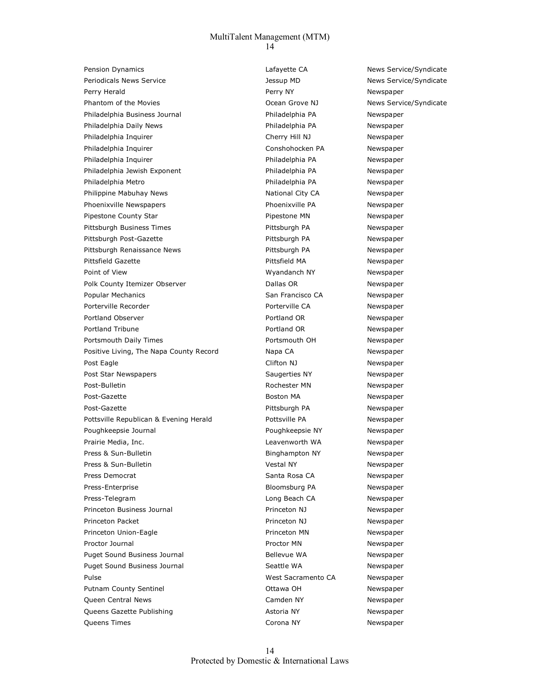Pension Dynamics **News Service** CA News Service/Syndicate Periodicals News Service Testing of the US of the Jessup MD News Service/Syndicate Perry Herald **Perry NY** Perry NY Newspaper Phantom of the Movies **National Community Community** Ocean Grove NJ News Service/Syndicate Philadelphia Business Journal **Philadelphia PA** Newspaper Philadelphia Daily News Philadelphia PA Newspaper Philadelphia Inquirer and Cherry Hill NJ Newspaper Philadelphia Inquirer and Conshohocken PA Newspaper Philadelphia Inquirer **Philadelphia PA** Newspaper Philadelphia Jewish Exponent **Access 19 and Access Philadelphia PA** Newspaper Philadelphia Metro Philadelphia PA Newspaper Philippine Mabuhay News Mational City CA Newspaper Phoenixville Newspapers and the Phoenixville PA Newspaper Pipestone County Star **Pipestone MN** Newspaper Pittsburgh Business Times **Pittsburgh PA** Newspaper Pittsburgh Post-Gazette **Pittsburgh PA** Newspaper Pittsburgh Renaissance News **Pittsburgh PA** Newspaper Pittsfield Gazette **Pittsfield MA** Newspaper Point of View **Newspaper Communist Communist Communist Communist Communist Communist Communist Communist Communist Communist Communist Communist Communist Communist Communist Communist Communist Communist Communist Commu** Polk County Itemizer Observer The County of Ballas OR Newspaper Popular Mechanics **Newspaper** San Francisco CA Newspaper Porterville Recorder The CA Newspaper Porterville CA Newspaper Portland Observer The Portland OR Newspaper Portland Tribune **Portland OR** Newspaper Portsmouth Daily Times **Portsmouth OH** Portsmouth OH Newspaper Positive Living, The Napa County Record Napa CA Newspaper Post Eagle **Clifton NJ** Clifton NJ Newspaper Post Star Newspapers The Saugerties NY Newspaper Post-Bulletin **Newspaper Post-Bulletin** Rochester MN Newspaper Post-Gazette **Boston MA** Newspaper Post-Gazette **Pick-Gazette** Pick-Gazette Pick-Gazette Pick-Gazette Pick-Gazette Pick-Gazette Pick-Gazette Pick-Gazette Pick-Gazette Pick-Gazette Pick-Gazette Pick-Gazette Pick-Gazette Pick-Gazette Pick-Gazette Pick-Gazette Pottsville Republican & Evening Herald Pottsville PA Newspaper Poughkeepsie Journal Poughkeepsie NY Newspaper Prairie Media, Inc. **Newspaper Constructs** Leavenworth WA Newspaper Press & Sun-Bulletin **Binghampton NY** Newspaper Press & Sun-Bulletin and Manuscription of Metal NY Newspaper Press Democrat Newspaper Santa Rosa CA Newspaper Press-Enterprise **Bloomsburg PA** Newspaper Press-Telegram and the control of the control of the Long Beach CA Newspaper Princeton Business Journal Princeton NJ Newspaper Princeton Packet **Princeton NJ** Newspaper Princeton Union-Eagle **Princeton MN** Newspaper Proctor Journal **Proctor MI Newspaper** Proctor MN Newspaper Puget Sound Business Journal **Bellevue WA** Rewspaper Puget Sound Business Journal Seattle WA Seattle WA Newspaper Pulse West Sacramento CA Newspaper Putnam County Sentinel **County Sentinel** County Sentinel County Sentinel County Sentinel County Sentinel County Sentinel County Sentinel County Sentinel County Sentinel County Sentinel County Sentinel County Sentinel Count Queen Central News Camden NY Newspaper Queens Gazette Publishing Astoria NY Astoria NY Newspaper Queens Times Corona NY Newspaper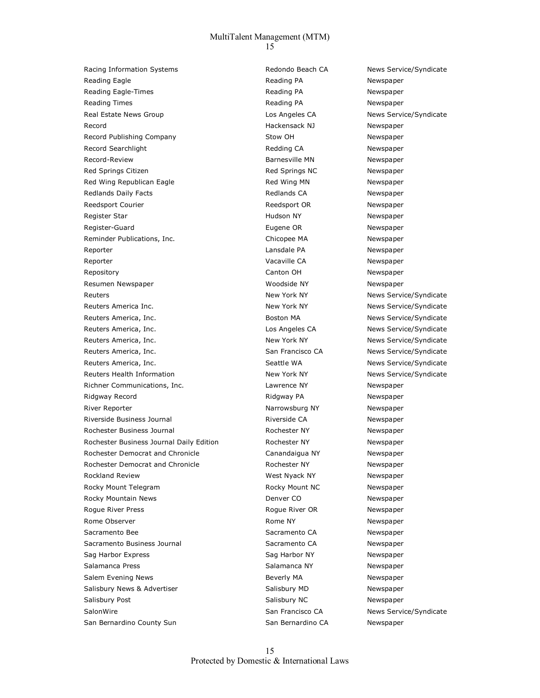Racing Information Systems The System State of Redondo Beach CA News Service/Syndicate Reading Eagle **Reading PA** Reading PA **Reading PA** Newspaper Reading Eagle-Times **Reading PA** Reading PA **Reading PA** Newspaper Reading Times **Reading PA** Reading PA **Reading PA** Newspaper Real Estate News Group **Los Angeles CA** News Service/Syndicate Record **Exercise 2 Newspaper** Hackensack NJ Newspaper Record Publishing Company The Company Stow OH Newspaper Record Searchlight **Record Searchlight** Record Searchlight **Record Searchlight** Record Review Redding CA Record-Review **Barnesville MN** Newspaper Red Springs Citizen **Red Springs NC** Newspaper Red Wing Republican Eagle The Red Wing MN Newspaper Redlands Daily Facts **Redlands CA** Redlands CA Newspaper Reedsport Courier **Reedsport OR** Reedsport OR Newspaper Register Star **National State Community Community** Hudson NY Newspaper Register-Guard **Eugene OR** Newspaper Reminder Publications, Inc. The Chicopee MA Newspaper Reporter and the control of the control of the Lansdale PA and the Newspaper Reporter and the CA Newspaper Capacity Capacity CA Newspaper Repository **Canton OH** Newspaper Resumen Newspaper Woodside NY Newspaper Reuters **New York NY** New York NY News Service/Syndicate Reuters America Inc. The Contract of the New York NY News Service/Syndicate Reuters America, Inc. The Contract of the Boston MA News Service/Syndicate Reuters America, Inc. **According to the CANN CONSTANDING METAL CONSTANT AREA** News Service/Syndicate Reuters America, Inc. New York NY New York NY News Service/Syndicate Reuters America, Inc. The San Francisco CA News Service/Syndicate Reuters America, Inc. The Seattle WA News Service/Syndicate Reuters Health Information The Mew York NY New York NY News Service/Syndicate Richner Communications, Inc. The Communications of Lawrence NY The Newspaper Ridgway Record **Ridgway PA** Ridgway PA Newspaper River Reporter **Narrowsburg NY** Narrowsburg NY Newspaper Riverside Business Journal The Communist Communist Riverside CA Newspaper Rochester Business Journal The Community Rochester NY Newspaper Rochester Business Journal Daily Edition **Rochester NY** Rewspaper Rochester Democrat and Chronicle **Canandaigua NY** Newspaper Rochester Democrat and Chronicle **Rochester NY** Newspaper Rockland Review Messer Manuscript Controller Messer West Nyack NY Newspaper Rocky Mount Telegram Text Controller Moore Rocky Mount NC Newspaper Rocky Mountain News **Denver CO** Newspaper Rogue River Press **Rogue River OR** Newspaper Rome Observer The Communication of the Rome NY Newspaper Rome NY Newspaper Sacramento Bee Sacramento CA Newspaper Sacramento Business Journal **Sacramento CA** Newspaper Sag Harbor Express Sag Harbor NY Newspaper Salamanca Press Salamanca NY Newspaper Salem Evening News **Beverly MA** Newspaper Salisbury News & Advertiser Salisbury MD Newspaper Salisbury Post **Salisbury NC** Newspaper SalonWire San Francisco CA News Service/Syndicate San Bernardino County Sun San San Bernardino CA Newspaper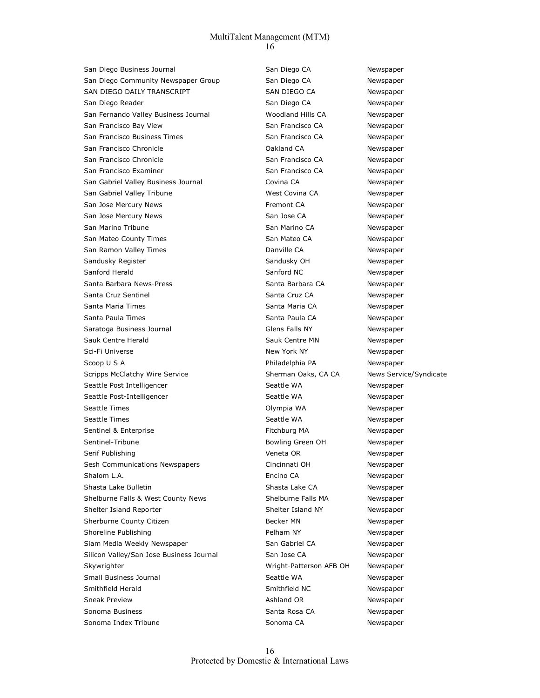San Diego Business Journal Newspaper San Diego CA Newspaper San Diego Community Newspaper Group San Diego CA Newspaper SAN DIEGO DAILY TRANSCRIPT SAN DIEGO CA Newspaper San Diego Reader Newspaper San Diego CA Newspaper San Fernando Valley Business Journal Woodland Hills CA Newspaper San Francisco Bay View **San Francisco CA** Newspaper San Francisco Business Times San Francisco CA Newspaper San Francisco Chronicle **Canadian CA** Oakland CA Newspaper San Francisco Chronicle **San Francisco CA** Newspaper San Francisco Examiner San Francisco CA Newspaper San Gabriel Valley Business Journal **Covina CA** Covina CA COVING Rewspaper San Gabriel Valley Tribune Manuel Mest Covina CA Newspaper San Jose Mercury News **Fremont CA** Newspaper San Jose Mercury News Newspaper San Jose CA Newspaper San Marino Tribune **San Marino CA** Newspaper San Mateo County Times San Mateo CA Newspaper San Ramon Valley Times **Danville CA** Newspaper Sandusky Register Sandusky OH Newspaper Sanford Herald **Sanford NC** Newspaper Santa Barbara News-Press Santa Barbara CA Newspaper Santa Cruz Sentinel Santa Cruz CA Newspaper Santa Maria Times Newspaper Santa Maria CA Newspaper Santa Paula Times Santa Paula CA Newspaper Saratoga Business Journal **Saratoga Business Journal Communist Communist Communist Communist Communist Communist Communist Communist Communist Communist Communist Communist Communist Communist Communist Communist Communist** Sauk Centre Herald **Sauk Centre MN** Newspaper Sci-Fi Universe New York New York NY Newspaper Scoop U S A **Philadelphia PA** Rewspaper Scripps McClatchy Wire Service Sherman Oaks, CA CA News Service/Syndicate Seattle Post Intelligencer and Seattle WA Newspaper Seattle Post-Intelligencer and Seattle WA Newspaper Seattle Times **Seattle Times COLYMPIA WA** Newspaper Seattle Times **Seattle WA** Newspaper Sentinel & Enterprise The Communication of the Fitchburg MA Newspaper Sentinel-Tribune **Bowling Green OH** Newspaper Serif Publishing The Contract of the Contract OR Newspaper Sesh Communications Newspapers Cincinnati OH Newspaper Shalom L.A. **Encino CA Encino CA Newspaper** Shasta Lake Bulletin **Shasta Lake CA** Newspaper Shelburne Falls & West County News Shelburne Falls MA Newspaper Shelter Island Reporter The Shelter Island NY Newspaper Sherburne County Citizen **Becker MN** Becker MN Newspaper Shoreline Publishing **Pelham NY** Newspaper Siam Media Weekly Newspaper San Gabriel CA Newspaper San Gabriel CA Silicon Valley/San Jose Business Journal San Jose CA San Jose CA Skywrighter Wright-Patterson AFB OH Newspaper Small Business Journal Seattle WA Newspaper Smithfield Herald **Smithfield NC** Newspaper Sneak Preview **Ashland OR** Newspaper Sonoma Business Sonoma Santa Rosa CA Newspaper Sonoma Index Tribune Sonoma CA Newspaper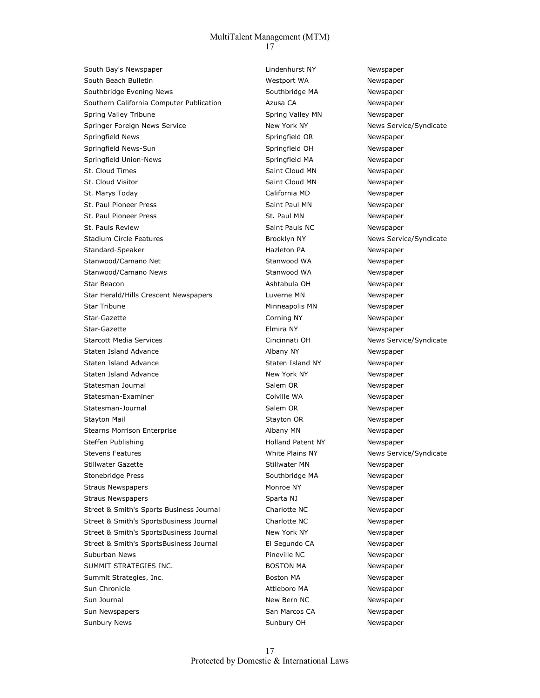South Bay's Newspaper The Counter School and Lindenhurst NY Newspaper South Beach Bulletin Manus Communicular Message Westport WA Newspaper Southbridge Evening News **Southbridge MA** Newspaper Southern California Computer Publication **Azusa CA** Newspaper Spring Valley Tribune Tribune Spring Valley MN Newspaper Springer Foreign News Service New York NY New York NY News Service/Syndicate Springfield News **Springfield OR** Newspaper Springfield News-Sun Newspaper Springfield OH Newspaper Springfield Union-News **Springfield MA** Newspaper St. Cloud Times Saint Cloud MN Newspaper St. Cloud Visitor **Saint Cloud MN** Newspaper St. Marys Today California MD Newspaper St. Paul Pioneer Press Saint Paul MN Newspaper St. Paul Pioneer Press St. Paul MN Newspaper St. Pauls Review **Saint Pauls NC** Newspaper Stadium Circle Features **Brooklyn NY** News Service/Syndicate Standard-Speaker **Hazleton PA** Newspaper Stanwood/Camano Net **Stanwood WA** Newspaper Stanwood/Camano News **Stanwood WA** Newspaper Star Beacon **Ashtabula OH** Ashtabula OH Newspaper Star Herald/Hills Crescent Newspapers **Luverne MN** Newspaper Star Tribune **Minneapolis MN** Newspaper Star-Gazette **Communists** Corning NY Newspaper Star-Gazette **Elmira NY** Elmira NY Newspaper Starcott Media Services and Services Cincinnati OH News Service/Syndicate Staten Island Advance and Albany NY Albany NY Newspaper Staten Island Advance and Staten Island NY Newspaper Staten Island Advance **New York NY** New York NY Newspaper Statesman Journal **Salem OR** Salem OR Newspaper Statesman-Examiner and Colville WA Newspaper Statesman-Journal **Salem OR** Newspaper Stayton Mail Stayton OR Newspaper Stearns Morrison Enterprise **Albany MN** Albany MN Newspaper Steffen Publishing The Matter of the Holland Patent NY Newspaper Stevens Features **Stevens Features** White Plains NY News Service/Syndicate Stillwater Gazette Stillwater MN Newspaper Stonebridge Press Newspaper Southbridge MA Newspaper Straus Newspapers **Monroe NY** Monroe NY Newspaper Straus Newspapers **Sparta NJ** Sparta NJ Newspaper Street & Smith's Sports Business Journal Charlotte NC Newspaper Street & Smith's SportsBusiness Journal Charlotte NC Newspaper Street & Smith's SportsBusiness Journal New York NY Newspaper Street & Smith's SportsBusiness Journal El Segundo CA Newspaper Suburban News **Pineville NC** Newspaper SUMMIT STRATEGIES INC. The SUMMIT STRATEGIES INC. Summit Strategies, Inc. The Contract of the Boston MA Newspaper Sun Chronicle **Attleboro MA Newspaper** Attleboro MA Newspaper Sun Journal New Bern NC New Bern NC Newspaper Sun Newspapers **San Marcos CA** Newspaper Sunbury News **Sunbury OH** Newspaper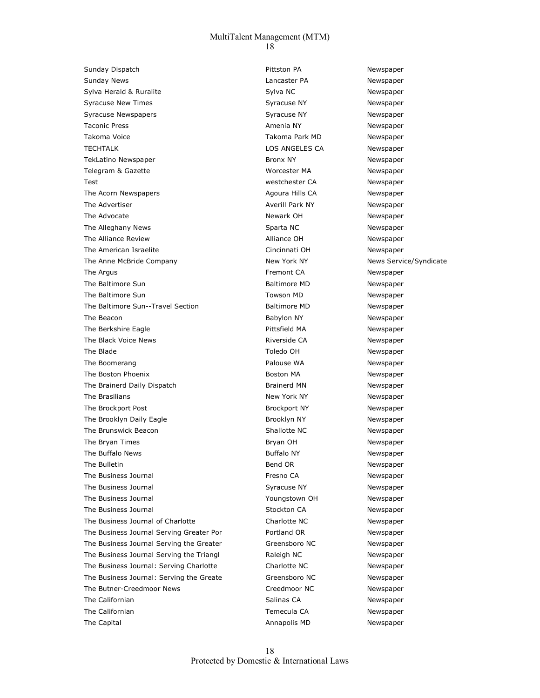Sunday Dispatch **Pittston PA** Pittston PA Newspaper Sunday News **Newspaper Contract Contract Contract Contract Contract Contract Contract Contract Contract Contract Contract Contract Contract Contract Contract Contract Contract Contract Contract Contract Contract Contract** Sylva Herald & Ruralite Sylva NC Newspaper Syracuse New Times **Syracuse NY** Syracuse NY Newspaper Syracuse Newspapers The Syracuse NY Newspaper Syracuse NY Newspaper Taconic Press **Amenia NY** Amenia NY Newspaper Takoma Voice **Takoma Park MD** Newspaper TECHTALK **EXECUTE CONSUMING THE LOS ANGELES CA** Newspaper TekLatino Newspaper TekLatino Newspaper and TekLatino Newspaper Telegram & Gazette Worcester MA Newspaper Test westchester CA Newspaper The Acorn Newspapers The Agoura Hills CA Newspaper The Advertiser The Advertiser Averill Park NY Newspaper The Advocate **Newspaper** Newspaper Newspaper Newspaper Newspaper The Alleghany News **Sparta NC** Sparta NC Newspaper The Alliance Review **Alliance OH** Alliance OH Newspaper The American Israelite **Cincinnati OH** Cincinnati OH Newspaper The Anne McBride Company The Anne McChanges New York NY News Service/Syndicate The Argus Fremont CA Newspaper The Baltimore Sun **Baltimore MD** Baltimore MD Newspaper The Baltimore Sun Newspaper **Towson MD** Newspaper The Baltimore Sun--Travel Section and Baltimore MD Newspaper The Beacon **Babylon NY** Babylon NY Newspaper The Berkshire Eagle **Newspaper Pittsfield MA** Newspaper The Black Voice News **Riverside CA** Newspaper The Blade The Blade Communication of the Blade Communication of the Toledo OH Newspaper The Boomerang The Boomerang Palouse WA Newspaper The Boston Phoenix **Boston MA** Newspaper The Brainerd Daily Dispatch **Brainerd MN** Newspaper The Brasilians **New York NY** New York NY Newspaper The Brockport Post **Brockport NY** Rewspaper The Brooklyn Daily Eagle The Brooklyn NY Newspaper The Brunswick Beacon The Brunswick Beacon Shallotte NC Newspaper The Bryan Times **Bryan OH** Bryan OH Newspaper The Buffalo News **Buffalo NY Newspaper Buffalo NY Newspaper** The Bulletin **Bulletin** Bend OR **Newspaper Bend OR** Newspaper The Business Journal **Fresno CA** The Business Journal According to the Second Terminal According Terminal According to the Mewspaper The Business Journal **Syracuse NY** Syracuse NY Newspaper The Business Journal The Business Journal The Business Journal The Mewspaper The Business Journal The Business Journal Stockton CA Newspaper The Business Journal of Charlotte Charlotte Charlotte NC Newspaper The Business Journal Serving Greater Por **Portland OR** Newspaper The Business Journal Serving the Greater Greensboro NC Newspaper The Business Journal Serving the Triangl **Raleigh NC** Newspaper The Business Journal: Serving Charlotte Charlotte NC Newspaper The Business Journal: Serving the Greate Greensboro NC Newspaper The Butner-Creedmoor News News Creedmoor NC Newspaper The Californian Salinas CA Newspaper Californian Salinas CA Newspaper The Californian Temecula CA Newspaper The Capital **Annapolis MD** Annapolis MD Newspaper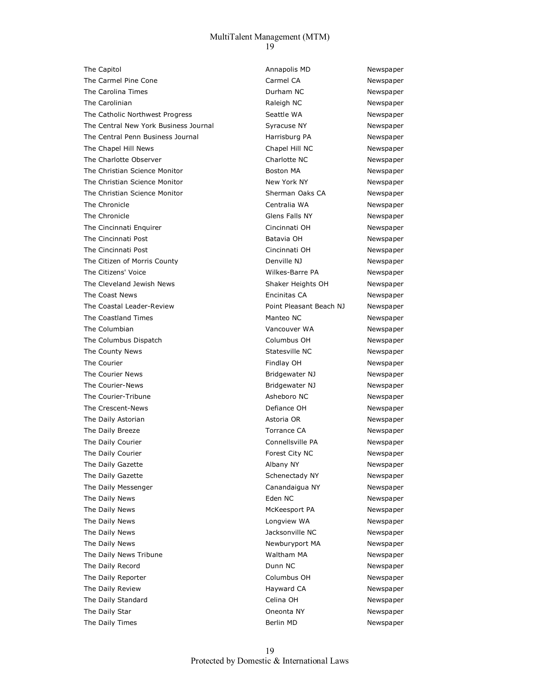The Capitol **The Capitol Annapolis MD** Newspaper The Carmel Pine Cone Carmel CA Carmel CA Newspaper The Carolina Times **Newspaper Contains Container Contains Container Contains Contains Propose Act of the Newspaper** The Carolinian **Raleigh NC** Newspaper The Catholic Northwest Progress The Catholic Northwest Progress Seattle WA Newspaper The Central New York Business Journal Syracuse NY Newspaper The Central Penn Business Journal The Central Penn Business Journal Harrisburg PA Newspaper The Chapel Hill News Chapel Hill NC Newspaper The Charlotte Observer The Charlotte NC Newspaper The Christian Science Monitor **Boston MA** Newspaper The Christian Science Monitor New York NY New York NY Newspaper The Christian Science Monitor Sherman Oaks CA Newspaper The Chronicle **Chronicle** Centralia WA Newspaper The Chronicle Glens Falls NY Newspaper The Cincinnati Enquirer **Cincinnati Cincinnati OH** Newspaper The Cincinnati Post **Batavia OH** Batavia OH Newspaper The Cincinnati Post Cincinnati OH Newspaper The Citizen of Morris County **Denville NJ** Denville NJ Newspaper The Citizens' Voice **Newspaper Wilkes-Barre PA** Newspaper The Cleveland Jewish News The Cleveland Jewish Newspaper The Coast News **Encinitial CA** Newspaper The Coastal Leader-Review **No. 2018** Point Pleasant Beach NJ Newspaper The Coastland Times **Manteo NC** Manteo NC Newspaper The Columbian **Vancouver WA** Newspaper The Columbus Dispatch Columbus OH Newspaper The County News **Statesville NC** Newspaper The Courier **Findlay OH Newspaper** Findlay OH **Newspaper** The Courier News **Bridgewater NJ** Newspaper The Courier-News **State Act as a set of the Courier-News** Bridgewater NJ Newspaper The Courier-Tribune **Asheboro NC** Newspaper The Crescent-News **Defiance OH** Newspaper The Daily Astorian and The Daily Astoria OR Newspaper The Daily Breeze Torrance CA Newspaper The Daily Courier **Connellsville PA** Newspaper The Daily Courier **Forest City NC** Newspaper The Daily Gazette **Albany NY** Albany NY Newspaper The Daily Gazette **Schenectady NY** Newspaper **Newspaper** Schenectady NY The Daily Messenger The Daily Messenger Canandaigua NY Newspaper The Daily News **Eden NC** Newspaper **CONE ACC** Newspaper The Daily News **McKeesport PA** Newspaper The Daily News **Newspaper Constant Constant Constant Constant Constant Constant Constant Constant Constant Constant Constant Constant Constant Constant Constant Constant Constant Constant Constant Constant Constant Const** The Daily News **Newspaper Contract Contract Contract Contract Contract Contract Contract Contract Contract Contract Contract Contract Contract Contract Contract Contract Contract Contract Contract Contract Contract Contr** The Daily News **Newburyport MA** Newspaper The Daily News Tribune Manus Communicular Manus Waltham MA Newspaper The Daily Record **Community** Control Dunn NC Newspaper The Daily Reporter The Daily Reporter Columbus OH Newspaper The Daily Review **Hayward CA** Newspaper The Daily Standard **Celina OH** Celina OH Newspaper The Daily Star **Newspaper Constructs** Coneonta NY Newspaper The Daily Times **Berlin MD** Newspaper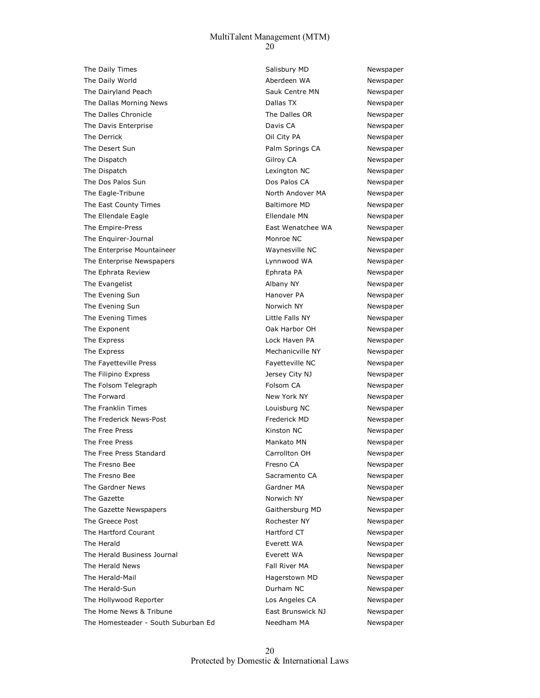The Daily Times **Salisbury MD** Newspaper The Daily World **Aberdeen WA** Aberdeen WA Newspaper The Dairyland Peach Sauk Centre MN Newspaper The Dallas Morning News **Newspaper Conserversity** Dallas TX **Newspaper Newspaper** The Dalles Chronicle The Dalles OR Newspaper The Davis Enterprise **Calculation** Controller Davis CA Newspaper The Derrick **Communist Coil City PA** Newspaper The Desert Sun **Palm Springs CA** Newspaper The Dispatch Gilroy CA Newspaper The Dispatch and Lexington NC Newspaper The Dos Palos Sun Newspaper Controller Controller Dos Palos CA Newspaper The Eagle-Tribune North Andover MA Newspaper The East County Times **Baltimore MD Baltimore MD** Newspaper The Ellendale Eagle The Ellendale MN Newspaper The Empire-Press East Wenatchee WA Newspaper The Enquirer-Journal The Enquirer-Journal Monroe NC Newspaper The Enterprise Mountaineer Waynesville NC Newspaper The Enterprise Newspapers **Newspaper Lynnwood WA** Newspaper The Ephrata Review **Example 2018** Ephrata PA Newspaper The Evangelist **Albany NY** Albany NY Newspaper The Evening Sun Newspaper **Contract Contract Contract Contract Contract Contract Contract Contract Contract Contract Contract Contract Contract Contract Contract Contract Contract Contract Contract Contract Contract Contra** The Evening Sun Norwich NY Norwich NY Newspaper The Evening Times **State Community** Little Falls NY Newspaper The Exponent Contract Contract Contract Contract Contract Contract Observed Contract Observed Contract Observed Contract Observed Contract Observed Contract Observed Contract Observed Contract Observed Contract Observed Co The Express The Express Contract Material Contract Medical Contract According Lock Haven PA Newspaper The Express The Express and The Express Mechanicville NY Newspaper The Fayetteville Press The Fayetteville NC Newspaper The Filipino Express The State of the State of the State of the State of the State of the State of the State of the State of the State of the State of the State of the State of the State of the State of the State of the St The Folsom Telegraph The Folsom CA Newspaper The Forward **New York NY** New York NY Newspaper The Franklin Times **Communist Communist Communist Communist Communist Communist Communist Communist Communist Communist Communist Communist Communist Communist Communist Communist Communist Communist Communist Communist Co**  The Frederick News-Post Frederick MD Newspaper The Free Press The State of the State Control of the Kinston NC Newspaper The Free Press **Mankato MN** Newspaper The Free Press Standard Carrollton OH Newspaper The Fresno Bee **Fresno Bee** Fresno CA Newspaper The Fresno Bee Sacramento CA Newspaper The Gardner News **Carolic Community** Gardner MA Newspaper The Gazette **Norwich NY** Norwich NY Newspaper The Gazette Newspapers The Gaithersburg MD Newspaper The Greece Post **Rochester NY** Newspaper The Hartford Courant **Hartford CT** Newspaper The Herald **Everett WA** Newspaper The Herald Business Journal **Everett WA** Newspaper The Herald News **Fall River MA** Newspaper The Herald-Mail Hagerstown MD Newspaper The Herald-Sun **Durham NC** Newspaper The Hollywood Reporter The Hollywood Reporter Los Angeles CA Newspaper The Home News & Tribune **East Brunswick NJ** Newspaper The Homesteader - South Suburban Ed Needham MA Newspaper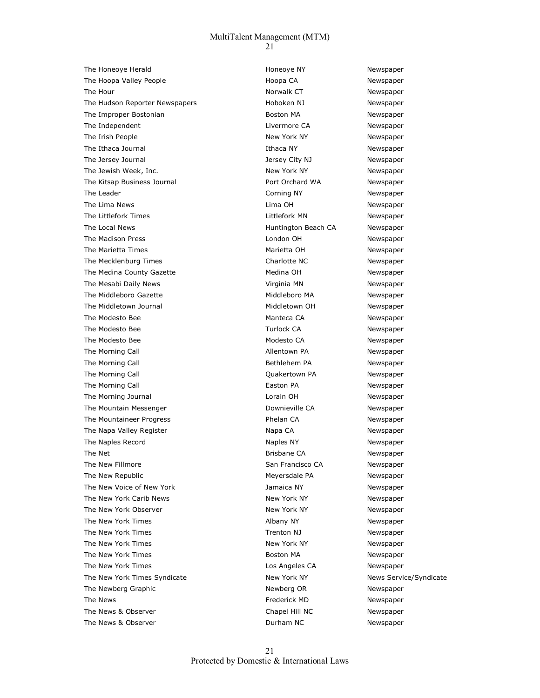The Honeoye Herald The Honeoye NY Newspaper The Hoopa Valley People The Hoopa CA Newspaper The Hour Norwalk CT Newspaper The Hudson Reporter Newspapers **Manufals Hoboken NJ** Newspaper The Improper Bostonian and Boston MA Newspaper The Independent The Independent and The Independent Livermore CA Newspaper The Irish People New York NY New York NY Newspaper The Ithaca Journal **Ithaca NY** Ithaca NY Newspaper The Jersey Journal The Jersey City NJ Newspaper The Jewish Week, Inc. New York NY New York NY Newspaper The Kitsap Business Journal **Port Orchard WA** Newspaper The Leader **Communication Communication** Corning NY **Communication** Newspaper The Lima News and the Lima OH Newspaper Controller and the Lima OH Newspaper The Littlefork Times **Communist Communist Communist Communist Communist Communist Communist Communist Communist Communist Communist Communist Communist Communist Communist Communist Communist Communist Communist Communist** The Local News **Numerial Community** Huntington Beach CA Newspaper The Madison Press **London OH** Newspaper The Marietta Times **Marietta OH** Marietta OH Newspaper The Mecklenburg Times and the Charlotte NC and Newspaper The Medina County Gazette Medina OH Medina OH Newspaper The Mesabi Daily News Virginia MN Newspaper The Middleboro Gazette **Middleboro MA** Newspaper The Middletown Journal Middletown OH Newspaper The Modesto Bee **Manteca CA** Newspaper The Modesto Bee Turlock CA Newspaper The Modesto Bee **Modesto CA** Newspaper The Morning Call **Allentown PA** Newspaper The Morning Call **Bethlehem PA** Newspaper The Morning Call Quakertown PA Newspaper The Morning Call **Easton PA Easton PA** Newspaper The Morning Journal **Newspaper Lorain OH** Lorain OH Newspaper The Mountain Messenger The Mountain Messenger and Downieville CA Newspaper The Mountaineer Progress The Mountaineer Progress and Mexical Phelan CA Newspaper The Napa Valley Register Napa CA Napa CA Newspaper The Naples Record **Naples All Accord Contract Contract Accord** Naples NY Newspaper The Net **All 2003** Contracts and Brisbane CA Newspaper The New Fillmore **San Francisco CA** Newspaper The New Republic **Meyersdale PA** Newspaper The New Voice of New York **Matter Communist Communist Communist Communist Communist Communist Communist Communist Communist Communist Communist Communist Communist Communist Communist Communist Communist Communist Communis** The New York Carib News New York NY New York NY Newspaper The New York Observer The Newspaper New York NY Newspaper The New York Times **Albany NY** Albany NY Newspaper The New York Times Trenton NJ Newspaper The New York Times New York NY New York NY Newspaper The New York Times **Boston MA** Newspaper The New York Times Los Angeles CA Newspaper The New York Times Syndicate New York NY New York NY News Service/Syndicate The Newberg Graphic The Newspaper Newspaper Newspaper The News **Frederick MD** Newspaper The News & Observer The Newspaper Chapel Hill NC Newspaper The News & Observer The Newspaper Controller and Durham NC Newspaper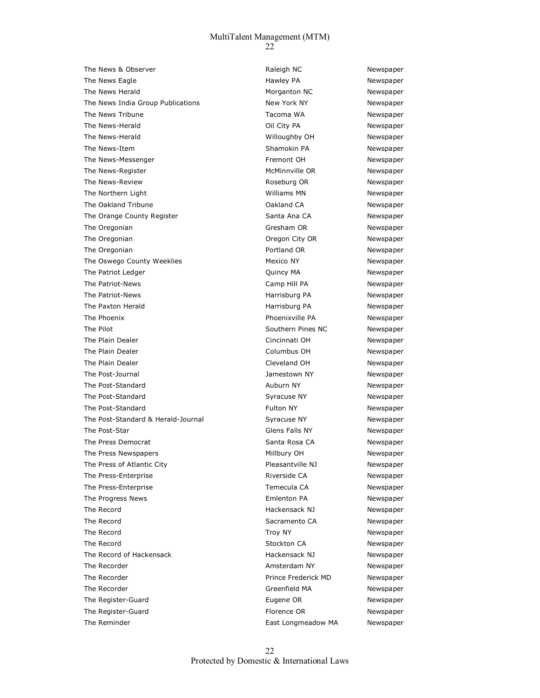The News & Observer The Newspaper Controller and Medicine Raleigh NC Newspaper The News Eagle **Newspaper Hawley PA** Newspaper The News Herald **Morganton NC** Newspaper The News India Group Publications New York NY Newspaper The News Tribune The Newspaper Controller Controller Controller Tacoma WA Newspaper The News-Herald **Communist Communist Communist Communist Communist Communist Communist Communist Communist Communist Communist Communist Communist Communist Communist Communist Communist Communist Communist Communist Commu**  The News-Herald Willoughby OH Newspaper The News-Item Shamokin PA Newspaper The News-Messenger The Newspaper Fremont OH Newspaper The News-Register **McMinnville OR** Newspaper The News-Review **Roseburg OR** Newspaper The Northern Light Newspaper Newspaper Newspaper Newspaper Newspaper The Oakland Tribune **Calculation** CA COAkland CA Newspaper The Orange County Register The Orange County Register Santa Ana CA Newspaper The Oregonian Green Controller Controller Controller Gresham OR Newspaper The Oregonian **The Oregonian** Oregon City OR Newspaper The Oregonian **Portland OR** Newspaper The Oswego County Weeklies Mexico NY Mexico NY Newspaper The Patriot Ledger **The Patriot Ledger Cuincy MA** Newspaper The Patriot-News **Camp Hill PA** Newspaper The Patriot-News **Matriot-News** Harrisburg PA Newspaper The Paxton Herald **Harrisburg PA** Newspaper The Phoenix **Newspaper Phoenixville PA** Newspaper The Pilot **Southern Pines NC** Newspaper The Plain Dealer **Cincinnati OH** Cincinnati OH Newspaper The Plain Dealer **Columbus OH** Columbus OH Newspaper The Plain Dealer **Cleveland OH** Cleveland OH Newspaper The Post-Journal and The Post-Journal and The Post-Journal and The Post-Journal and The Post-Journal and The Memorial and The Post-Journal and The Post-Journal and The Post-Journal and The Post-Journal and The Post-Journal The Post-Standard **Auburn NY** Auburn NY Newspaper The Post-Standard **Syracuse NY** Syracuse NY Newspaper The Post-Standard **Fulton NY** Fulton NY Newspaper The Post-Standard & Herald-Journal Syracuse NY Syracuse NY The Post-Star Contract Contract Contract Contract Contract Glens Falls NY Contract Newspaper The Press Democrat **Santa Rosa CA** Newspaper The Press Newspapers **Millbury OH** Newspaper The Press of Atlantic City **Pleasantville NJ** Newspaper The Press-Enterprise and the Riverside CA Newspaper The Press-Enterprise Temecula CA Newspaper The Progress News **Emlenton PA** Newspaper The Record **Example 2018** Hackensack NJ Newspaper The Record **Sacramento CA** Newspaper The Record **Troy NY** Troy NY Newspaper The Record **Stockton CA** Newspaper The Record of Hackensack **Hackensack Hackensack NJ** Newspaper The Recorder **Amsterdam NY** Newspaper The Recorder Prince Frederick MD Newspaper The Recorder The Recorder Controller Controller Controller Greenfield MA Newspaper The Register-Guard **Eugene OR Eugene OR** Newspaper The Register-Guard **Florence OR** Newspaper The Reminder **East Longmeadow MA** Newspaper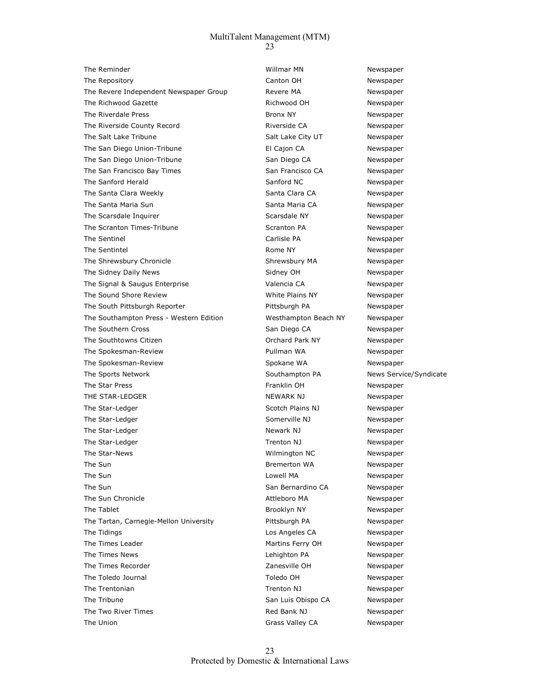The Reminder The Reminder Contract Contract Contract Members of Mullmar MN Newspaper The Repository **Canton OH** Canton OH Newspaper The Revere Independent Newspaper Group **Revere MA** Newspaper The Richwood Gazette **Richwood OH** Richwood OH Newspaper The Riverdale Press **Bronx NY** Bronx NY Newspaper The Riverside County Record **Riverside CA** Riverside CA Newspaper The Salt Lake Tribune The Salt Lake City UT Newspaper The San Diego Union-Tribune El Cajon CA Newspaper The San Diego Union-Tribune San Diego CA Newspaper The San Francisco Bay Times San Francisco CA Newspaper The Sanford Herald The Sanford NC Newspaper The Santa Clara Weekly **Santa Clara CA** Newspaper The Santa Maria Sun Santa Maria CA Newspaper The Scarsdale Inquirer The Scarsdale NY Newspaper The Scranton Times-Tribune Scranton PA Scranton PA Newspaper The Sentinel **Carlisle PA** Carlisle PA Newspaper The Sentintel **Rome NY** Rome NY Newspaper The Shrewsbury Chronicle The Shrewsbury MA Newspaper The Sidney Daily News **Sidney OH** Sidney OH Newspaper The Signal & Saugus Enterprise Valencia CA Newspaper The Sound Shore Review Multimeter of Milte Plains NY Newspaper The South Pittsburgh Reporter **Pittsburgh PA** Newspaper The Southampton Press - Western Edition Mesthampton Beach NY Newspaper The Southern Cross The Southern Cross Captus Control of San Diego CA Newspaper The Southtowns Citizen **Communist Communist Communist Communist Communist Communist Communist Communist Communist Communist Communist Communist Communist Communist Communist Communist Communist Communist Communist Communis**  The Spokesman-Review Pullman WA Newspaper The Spokesman-Review The Spokane WA Newspaper The Sports Network **Southampton PA** News Service/Syndicate The Star Press Franklin OH Newspaper THE STAR-LEDGER NEWSPAPER NEWSPAPER NEWSPAPER NEWSPAPER NEWSPAPER NEWSPAPER NEWSPAPER NEWSPAPER NEWSPAPER NEWSPAPER The Star-Ledger National Control of Scotch Plains NJ Newspaper The Star-Ledger The Star-Ledger Somerville NJ Newspaper The Star-Ledger The Star-Ledger Newspaper Newspaper Newspaper Newspaper The Star-Ledger Trenton NJ Newspaper The Star-News Wilmington NC Newspaper The Sun **Bremerton WA** Newspaper The Sun and the Sun Lowell MA Newspaper and Lowell MA Newspaper The Sun San Bernardino CA Newspaper The Sun Chronicle **Attleboro MA** Newspaper The Tablet **Brooklyn NY** Brooklyn NY Newspaper The Tartan, Carnegie-Mellon University **Pittsburgh PA** Newspaper The Tidings **Los Angeles CA** Newspaper The Times Leader **Marting Ferry OH** Newspaper The Times News **News** 2008 Community Charles Community Lehighton PA Newspaper The Times Recorder The Times Recorder The Times Recorder All 2anesville OH Newspaper The Toledo Journal Toledo OH Newspaper The Trentonian Trenton NJ Newspaper The Tribune San Luis Obispo CA Newspaper The Two River Times **Red Bank NJ** Newspaper The Union **Grass Valley CA** Newspaper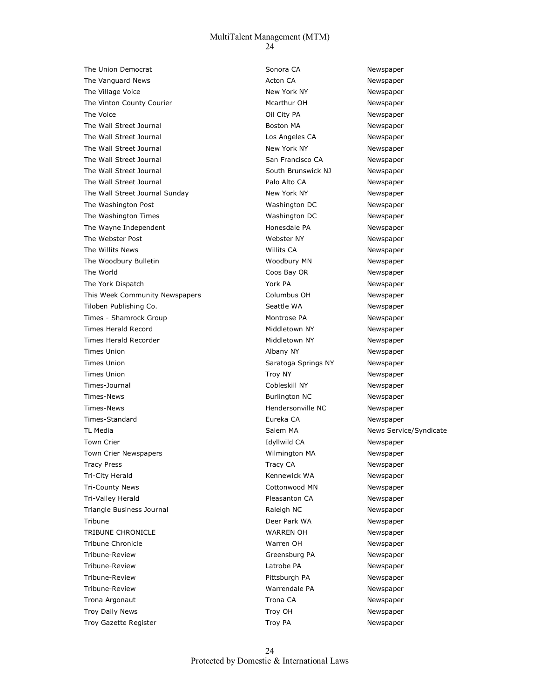The Union Democrat **Sonora CA** Sonora CA Newspaper The Vanguard News **Actor CA** Actor CA Newspaper The Village Voice **New York New York NY** New York NY Newspaper The Vinton County Courier **Music County County County** Courier Mcarthur OH Newspaper The Voice **Community Collective Collective Collective Party Collective Party PA** Newspaper The Wall Street Journal **Boston MA** Newspaper The Wall Street Journal **Los Angeles CA** Newspaper The Wall Street Journal New York NY New York NY Newspaper The Wall Street Journal **San Francisco CA** Newspaper The Wall Street Journal The Wall Street Journal South Brunswick NJ Newspaper The Wall Street Journal **Palo Alto CA** Newspaper The Wall Street Journal Sunday New York NY Newspaper The Washington Post Washington DC Newspaper The Washington Times Washington DC Newspaper The Wayne Independent The Wayne Independent The Wayne Independent The Webster Post Newspaper Newspaper Newspaper Newspaper Newspaper The Willits News **Newspaper Willits CA** Newspaper The Woodbury Bulletin **Newspaper Woodbury MN** Newspaper The World **Coos Bay OR** Newspaper The York Dispatch The York PA Newspaper This Week Community Newspapers Columbus OH Newspaper Tiloben Publishing Co. The Seattle WA Newspaper Times - Shamrock Group and Montrose PA Newspaper Times Herald Record **Middletown NY** Newspaper Times Herald Recorder The Middletown NY Newspaper Times Union **Albany NY** Albany NY Newspaper Times Union Newspaper Controller Saratoga Springs NY Newspaper Times Union Troy NY Troy NY Newspaper Times-Journal Cobleskill NY Newspaper Times-News **Burlington NC** Newspaper Times-News **Hendersonville NC** Newspaper Times-Standard Eureka CA Newspaper TL Media Salem MA News Service/Syndicate Syndicate Syndicate Syndicate Syndicate Syndicate Syndicate Syndicate Town Crier **Idyllwild CA** Newspaper Town Crier Newspapers Wilmington MA Newspaper Tracy Press and the Community Community Community Community Community Community Community Community Community Community Community Community Community Community Community Community Community Community Community Community Co Tri-City Herald **Newspaper Connect WA** Newspaper **Connect WA** Newspaper Tri-County News **Collection Control Contomwood MN** Newspaper Tri-Valley Herald **Pleasanton CA** Newspaper Triangle Business Journal **Raleigh NC** Raleigh NC Newspaper Tribune **Deer Park WA** Newspaper TRIBUNE CHRONICLE **WARREN OH** WARREN OH Newspaper Tribune Chronicle Warren OH Newspaper Tribune-Review Greensburg PA Newspaper Tribune-Review Latrobe PA Newspaper Tribune-Review Pittsburgh PA Newspaper Tribune-Review Warrendale PA Newspaper Trona Argonaut **Trona CA** Newspaper Troy Daily News **Troy OH** Newspaper Troy Gazette Register Troy PA Newspaper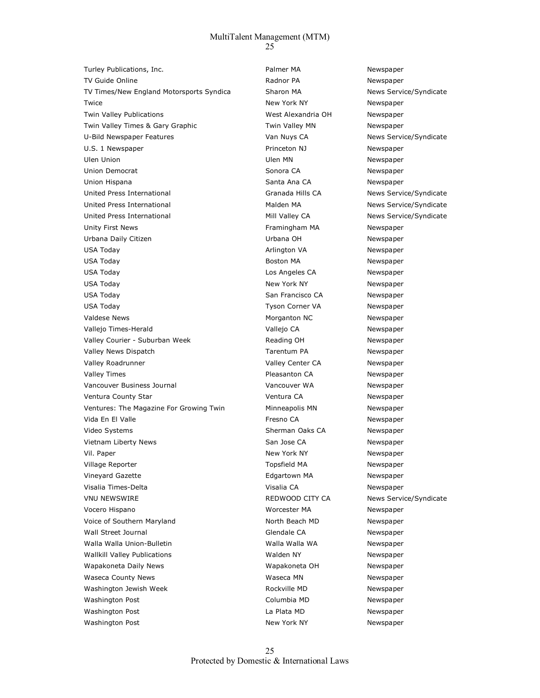Turley Publications, Inc. Turley Publications, Inc. Palmer MA Newspaper TV Guide Online **Newspaper Radnor PA** Newspaper TV Times/New England Motorsports Syndica Sharon MA News Service/Syndicate Twice **New York NY** New York NY Newspaper Twin Valley Publications West Alexandria OH Newspaper Twin Valley Times & Gary Graphic Twin Valley MN Newspaper U-Bild Newspaper Features and Muys CA Nuys CA News Service/Syndicate U.S. 1 Newspaper **Number 2 Newspaper** Princeton NJ Newspaper Ulen Union Newspaper Newspaper Newspaper Newspaper Newspaper Newspaper Newspaper Union Democrat **Solution CA** Newspaper Sonora CA Newspaper Union Hispana Newspaper Santa Ana CA Newspaper United Press International and Science Cranada Hills CA News Service/Syndicate United Press International and Malden MA News Service/Syndicate United Press International The Mill Valley CA News Service/Syndicate Unity First News **Framingham MA** Newspaper Urbana Daily Citizen Urbana OH Newspaper USA Today **Arlington VA** Newspaper **Arlington VA** Newspaper USA Today **Boston MA** Newspaper USA Today Los Angeles CA Newspaper USA Today **New York NY** New York NY Newspaper USA Today **San Francisco CA** Newspaper USA Today **Tyson Corner VA** Newspaper Valdese News **Morganton NC** Newspaper Vallejo Times-Herald Vallejo CA Newspaper Valley Courier - Suburban Week **Reading OH** Reading OH Newspaper Valley News Dispatch Tarentum PA Newspaper Valley Roadrunner Valley Center CA Newspaper Valley Times **Pleasanton CA** Newspaper Vancouver Business Journal Vancouver WA Newspaper Ventura County Star **Ventura CA** Newspaper Ventures: The Magazine For Growing Twin Minneapolis MN Newspaper Vida En El Valle Fresno CA Newspaper Video Systems Sherman Oaks CA Newspaper Vietnam Liberty News **San Jose CA** Newspaper Vil. Paper New York NY New York NY Newspaper Village Reporter Topsfield MA Newspaper Vineyard Gazette **Edgartown MA** Newspaper Visalia Times-Delta Visalia CA Newspaper VNU NEWSWIRE **All and Service Control City Control City Control City Control City Control City Control News Service/Syndicate**  Vocero Hispano Worcester MA Newspaper Voice of Southern Maryland North Beach MD Newspaper Wall Street Journal Glendale CA Newspaper Walla Walla Union-Bulletin Malla Walla Walla WA Newspaper Wallkill Valley Publications and Manuscull Members and Walden NY Newspaper Wapakoneta Daily News Wapakoneta OH Newspaper Waseca County News **Waseca MN** Newspaper Washington Jewish Week **Rockville MD** Newspaper Washington Post Columbia MD Newspaper Washington Post **La Plata MD** Newspaper Washington Post New York NY New York NY Newspaper